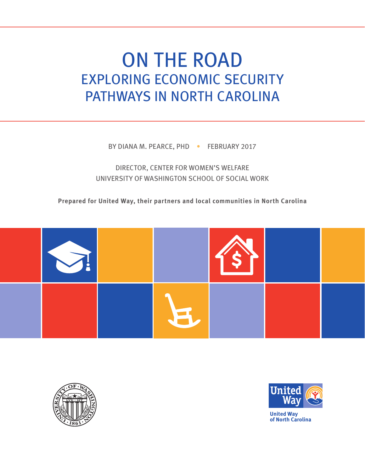# ON THE ROAD EXPLORING ECONOMIC SECURITY PATHWAYS IN NORTH CAROLINA

BY DIANA M. PEARCE, PHD · FEBRUARY 2017

DIRECTOR, CENTER FOR WOMEN'S WELFARE UNIVERSITY OF WASHINGTON SCHOOL OF SOCIAL WORK

**Prepared for United Way, their partners and local communities in North Carolina**







**of North Carolina**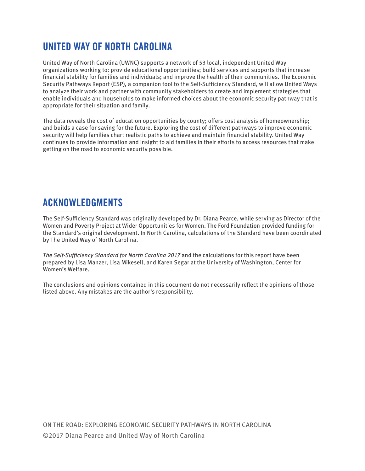# UNITED WAY OF NORTH CAROLINA

United Way of North Carolina (UWNC) supports a network of 53 local, independent United Way organizations working to: provide educational opportunities; build services and supports that increase financial stability for families and individuals; and improve the health of their communities. The Economic Security Pathways Report (ESP), a companion tool to the Self-Sufficiency Standard, will allow United Ways to analyze their work and partner with community stakeholders to create and implement strategies that enable individuals and households to make informed choices about the economic security pathway that is appropriate for their situation and family.

The data reveals the cost of education opportunities by county; offers cost analysis of homeownership; and builds a case for saving for the future. Exploring the cost of different pathways to improve economic security will help families chart realistic paths to achieve and maintain financial stability. United Way continues to provide information and insight to aid families in their efforts to access resources that make getting on the road to economic security possible.

## ACKNOWLEDGMENTS

The Self-Sufficiency Standard was originally developed by Dr. Diana Pearce, while serving as Director of the Women and Poverty Project at Wider Opportunities for Women. The Ford Foundation provided funding for the Standard's original development. In North Carolina, calculations of the Standard have been coordinated by The United Way of North Carolina.

The Self-Sufficiency Standard for North Carolina 2017 and the calculations for this report have been prepared by Lisa Manzer, Lisa Mikesell, and Karen Segar at the University of Washington, Center for Women's Welfare.

The conclusions and opinions contained in this document do not necessarily reflect the opinions of those listed above. Any mistakes are the author's responsibility.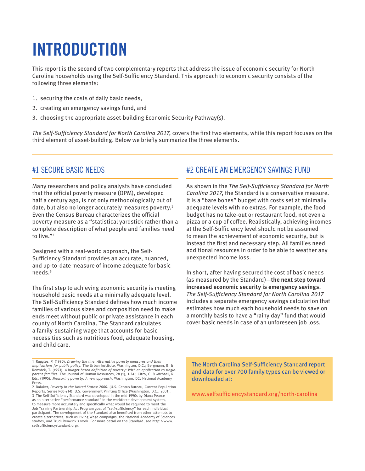# INTRODUCTION

This report is the second of two complementary reports that address the issue of economic security for North Carolina households using the Self-Sufficiency Standard. This approach to economic security consists of the following three elements:

- 1. securing the costs of daily basic needs,
- 2. creating an emergency savings fund, and
- 3. choosing the appropriate asset-building Economic Security Pathway(s).

The Self-Sufficiency Standard for North Carolina 2017, covers the first two elements, while this report focuses on the third element of asset-building. Below we briefly summarize the three elements.

#### #1 SECURE BASIC NEEDS

Many researchers and policy analysts have concluded that the official poverty measure (OPM), developed half a century ago, is not only methodologically out of date, but also no longer accurately measures poverty.<sup>1</sup> Even the Census Bureau characterizes the official poverty measure as a "statistical yardstick rather than a complete description of what people and families need to live."<sup>2</sup>

Designed with a real-world approach, the Self-Sufficiency Standard provides an accurate, nuanced, and up-to-date measure of income adequate for basic needs.3

The first step to achieving economic security is meeting household basic needs at a minimally adequate level. The Self-Sufficiency Standard defines how much income families of various sizes and composition need to make ends meet without public or private assistance in each county of North Carolina. The Standard calculates a family-sustaining wage that accounts for basic necessities such as nutritious food, adequate housing, and child care.

## #2 CREATE AN EMERGENCY SAVINGS FUND

As shown in the The Self-Sufficiency Standard for North Carolina 2017, the Standard is a conservative measure. It is a "bare bones" budget with costs set at minimally adequate levels with no extras. For example, the food budget has no take-out or restaurant food, not even a pizza or a cup of coffee. Realistically, achieving incomes at the Self-Sufficiency level should not be assumed to mean the achievement of economic security, but is instead the first and necessary step. All families need additional resources in order to be able to weather any unexpected income loss.

In short, after having secured the cost of basic needs (as measured by the Standard)—**the next step toward increased economic security is emergency savings**. The Self-Sufficiency Standard for North Carolina 2017 includes a separate emergency savings calculation that estimates how much each household needs to save on a monthly basis to have a "rainy day" fund that would cover basic needs in case of an unforeseen job loss.

The North Carolina Self-Sufficiency Standard report and data for over 700 family types can be viewed or downloaded at:

[www.selfsufficiencystandard.org/north-carolina](http://www.selfsufficiencystandard.org/north-carolina)

<sup>1</sup> Ruggles, P. (1990). *Drawing the line: Alternative poverty measures and their implications for public policy*. The Urban Institute, Washington, D.C.; Bergmann, B. & Renwick, T. (1993). *A budget-based definition of poverty: With an application to singleparent families*. The Journal of Human Resources, 28 (1), 1-24.; Citro, C. & Michael, R. Eds. (1995). *Measuring poverty: A new approach*. Washington, DC: National Academy Press.

<sup>2</sup> Dalaker, *Poverty in the United States: 2000*. (U.S. Census Bureau, Current Population Reports, Series P60-214). U.S. Government Printing Office (Washington, D.C., 2001). 3 The Self-Sufficiency Standard was developed in the mid-1990s by Diana Pearce as an alternative "performance standard" in the workforce development system, to measure more accurately and specifically what would be required to meet the Job Training Partnership Act Program goal of "self-sufficiency" for each individual participant. The development of the Standard also benefited from other attempts to create alternatives, such as Living Wage campaigns, the National Academy of Sciences studies, and Trudi Renwick's work. For more detail on the Standard, see [http://www.](http://www.selfsufficiencystandard.org/) [selfsufficiencystandard.org/.](http://www.selfsufficiencystandard.org/)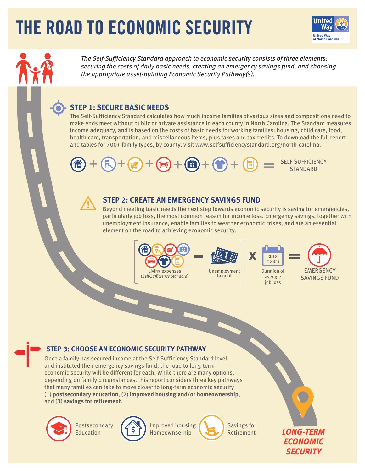# THE ROAD TO ECONOMIC SECURITY





*The Self-Sufficiency Standard approach to economic security consists of three elements: securing the costs of daily basic needs, creating an emergency savings fund, and choosing the appropriate asset-building Economic Security Pathway(s).* 

## **STEP 1: SECURE BASIC NEEDS**

The Self-Sufficiency Standard calculates how much income families of various sizes and compositions need to make ends meet without public or private assistance in each county in North Carolina. The Standard measures income adequacy, and is based on the costs of basic needs for working families: housing, child care, food, health care, transportation, and miscellaneous items, plus taxes and tax credits. To download the full report and tables for 700+ family types, by county, visit [www.selfsufficiencystandard.org/north-carolina.](http://www.selfsufficiencystandard.org/north-carolina) 



#### **STEP 2: CREATE AN EMERGENCY SAVINGS FUND**

Beyond meeting basic needs the next step towards economic security is saving for emergencies, particularly job loss, the most common reason for income loss. Emergency savings, together with unemployment insurance, enable families to weather economic crises, and are an essential element on the road to achieving economic security.





benefit



Duration of average job loss



### **STEP 3: CHOOSE AN ECONOMIC SECURITY PATHWAY**

Once a family has secured income at the Self-Sufficiency Standard level and instituted their emergency savings fund, the road to long-term economic security will be different for each. While there are many options, depending on family circumstances, this report considers three key pathways that many families can take to move closer to long-term economic security (1) **postsecondary education**, (2) **improved housing and/or homeownership**, and (3) **savings for retirement**.



Postsecondary Education



Improved housing Homeownserhip

Savings for Retirement

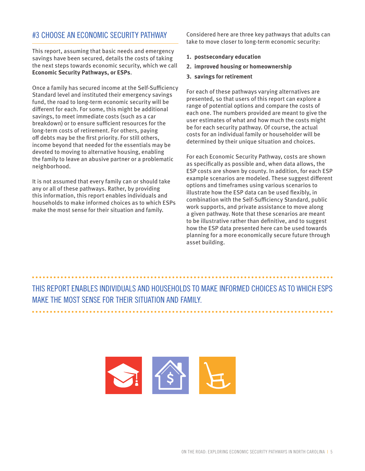### #3 CHOOSE AN ECONOMIC SECURITY PATHWAY

This report, assuming that basic needs and emergency savings have been secured, details the costs of taking the next steps towards economic security, which we call **Economic Security Pathways, or ESPs**.

Once a family has secured income at the Self-Sufficiency Standard level and instituted their emergency savings fund, the road to long-term economic security will be different for each. For some, this might be additional savings, to meet immediate costs (such as a car breakdown) or to ensure sufficient resources for the long-term costs of retirement. For others, paying off debts may be the first priority. For still others, income beyond that needed for the essentials may be devoted to moving to alternative housing, enabling the family to leave an abusive partner or a problematic neighborhood.

It is not assumed that every family can or should take any or all of these pathways. Rather, by providing this information, this report enables individuals and households to make informed choices as to which ESPs make the most sense for their situation and family.

Considered here are three key pathways that adults can take to move closer to long-term economic security:

- **1. postsecondary education**
- **2. improved housing or homeownership**
- **3. savings for retirement**

For each of these pathways varying alternatives are presented, so that users of this report can explore a range of potential options and compare the costs of each one. The numbers provided are meant to give the user estimates of what and how much the costs might be for each security pathway. Of course, the actual costs for an individual family or householder will be determined by their unique situation and choices.

For each Economic Security Pathway, costs are shown as specifically as possible and, when data allows, the ESP costs are shown by county. In addition, for each ESP example scenarios are modeled. These suggest different options and timeframes using various scenarios to illustrate how the ESP data can be used flexibly, in combination with the Self-Sufficiency Standard, public work supports, and private assistance to move along a given pathway. Note that these scenarios are meant to be illustrative rather than definitive, and to suggest how the ESP data presented here can be used towards planning for a more economically secure future through asset building.

THIS REPORT ENABLES INDIVIDUALS AND HOUSEHOLDS TO MAKE INFORMED CHOICES AS TO WHICH ESPS MAKE THE MOST SENSE FOR THEIR SITUATION AND FAMILY.

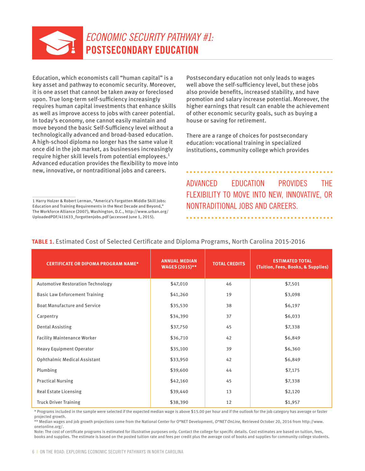

Education, which economists call "human capital" is a key asset and pathway to economic security. Moreover, it is one asset that cannot be taken away or foreclosed upon. True long-term self-sufficiency increasingly requires human capital investments that enhance skills as well as improve access to jobs with career potential. In today's economy, one cannot easily maintain and move beyond the basic Self-Sufficiency level without a technologically advanced and broad-based education. A high-school diploma no longer has the same value it once did in the job market, as businesses increasingly require higher skill levels from potential employees.<sup>1</sup> Advanced education provides the flexibility to move into new, innovative, or nontraditional jobs and careers.

1 Harry Holzer & Robert Lerman, "America's Forgotten Middle Skill Jobs: Education and Training Requirements in the Next Decade and Beyond," The Workforce Alliance (2007), Washington, D.C., [http://www.urban.org/](http://www.urban.org/UploadedPDF/411633_forgottenjobs.pdf) [UploadedPDF/411633\\_forgottenjobs.pdf \(a](http://www.urban.org/UploadedPDF/411633_forgottenjobs.pdf)ccessed June 1, 2015).

Postsecondary education not only leads to wages well above the self-sufficiency level, but these jobs also provide benefits, increased stability, and have promotion and salary increase potential. Moreover, the higher earnings that result can enable the achievement of other economic security goals, such as buying a house or saving for retirement.

There are a range of choices for postsecondary education: vocational training in specialized institutions, community college which provides

. . . . . . . . . . . . . .

ADVANCED EDUCATION PROVIDES THE FLEXIBILITY TO MOVE INTO NEW, INNOVATIVE, OR NONTRADITIONAL JOBS AND CAREERS.

| <b>CERTIFICATE OR DIPOMA PROGRAM NAME*</b> | <b>ANNUAL MEDIAN</b><br><b>WAGES (2015)**</b> | <b>TOTAL CREDITS</b> | <b>ESTIMATED TOTAL</b><br>(Tuition, Fees, Books, & Supplies) |
|--------------------------------------------|-----------------------------------------------|----------------------|--------------------------------------------------------------|
| <b>Automotive Restoration Technology</b>   | \$47,010                                      | 46                   | \$7,501                                                      |
| <b>Basic Law Enforcement Training</b>      | \$41,260                                      | 19                   | \$3,098                                                      |
| <b>Boat Manufacture and Service</b>        | \$35,530                                      | 38                   | \$6,197                                                      |
| Carpentry                                  | \$34,390                                      | 37                   | \$6,033                                                      |
| Dental Assisting                           | \$37,750                                      | 45                   | \$7,338                                                      |
| <b>Facility Maintenance Worker</b>         | \$36,710                                      | 42                   | \$6,849                                                      |
| <b>Heavy Equipment Operator</b>            | \$35,100                                      | 39                   | \$6,360                                                      |
| Ophthalmic Medical Assistant               | \$33,950                                      | 42                   | \$6,849                                                      |
| Plumbing                                   | \$39,600                                      | 44                   | \$7,175                                                      |
| <b>Practical Nursing</b>                   | \$42,160                                      | 45                   | \$7,338                                                      |
| <b>Real Estate Licensing</b>               | \$39,440                                      | 13                   | \$2,120                                                      |
| <b>Truck Driver Training</b>               | \$38,390                                      | 12                   | \$1,957                                                      |

<span id="page-5-0"></span>**Table 1.** Estimated Cost of Selected Certificate and Diploma Programs, North Carolina 2015-2016

\* Programs included in the sample were selected if the expected median wage is above \$15.00 per hour and if the outlook for the job category has average or faster projected growth.

\*\* Median wages and job growth projections come from the National Center for O\*NET Development, O\*NET OnLine, Retrieved October 20, 2016 from [http://www.](http://www) onetonline.org/.

Note: The cost of certificate programs is estimated for illustrative purposes only. Contact the college for specific details. Cost estimates are based on tuition, fees, books and supplies. The estimate is based on the posted tuition rate and fees per credit plus the average cost of books and supplies for community college students.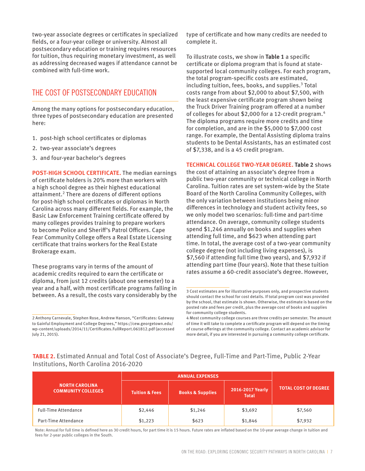two-year associate degrees or certificates in specialized fields, or a four-year college or university. Almost all postsecondary education or training requires resources for tuition, thus requiring monetary investment, as well as addressing decreased wages if attendance cannot be combined with full-time work.

### THE COST OF POSTSECONDARY EDUCATION

Among the many options for postsecondary education, three types of postsecondary education are presented here:

- 1. post-high school certificates or diplomas
- 2. two-year associate's degrees
- 3. and four-year bachelor's degrees

**POST-HIGH SCHOOL CERTIFICATE.** The median earnings of certificate holders is 20% more than workers with a high school degree as their highest educational attainment.<sup>2</sup> There are dozens of different options for post-high school certificates or diplomas in North Carolina across many different fields. For example, the Basic Law Enforcement Training certificate offered by many colleges provides training to prepare workers to become Police and Sheriff's Patrol Officers. Cape Fear Community College offers a Real Estate Licensing certificate that trains workers for the Real Estate Brokerage exam.

These programs vary in terms of the amount of academic credits required to earn the certificate or diploma, from just 12 credits (about one semester) to a year and a half, with most certificate programs falling in between. As a result, the costs vary considerably by the

type of certificate and how many credits are needed to complete it.

To illustrate costs, we show in **[Table 1](#page-5-0)** a specific certificate or diploma program that is found at statesupported local community colleges. For each program, the total program-specific costs are estimated, including tuition, fees, books, and supplies.<sup>3</sup> Total costs range from about \$2,000 to about \$7,500, with the least expensive certificate program shown being the Truck Driver Training program offered at a number of colleges for about \$2,000 for a 12-credit program.<sup>4</sup> The diploma programs require more credits and time for completion, and are in the \$5,000 to \$7,000 cost range. For example, the Dental Assisting diploma trains students to be Dental Assistants, has an estimated cost of \$7,338, and is a 45 credit program.

**TECHNICAL COLLEGE TWO-YEAR DEGREE. [Table 2](#page-6-0)** shows

the cost of attaining an associate's degree from a public two-year community or technical college in North Carolina. Tuition rates are set system-wide by the State Board of the North Carolina Community Colleges, with the only variation between institutions being minor differences in technology and student activity fees, so we only model two scenarios: full-time and part-time attendance. On average, community college students spend \$1,246 annually on books and supplies when attending full time, and \$623 when attending part time. In total, the average cost of a two-year community college degree (not including living expenses), is \$7,560 if attending full time (two years), and \$7,932 if attending part time (four years). Note that these tuition rates assume a 60-credit associate's degree. However,

#### <span id="page-6-0"></span>**Table 2.** Estimated Annual and Total Cost of Associate's Degree, Full-Time and Part-Time, Public 2-Year Institutions, North Carolina 2016-2020

| <b>NORTH CAROLINA</b><br><b>COMMUNITY COLLEGES</b> | <b>Tuition &amp; Fees</b> | <b>Books &amp; Supplies</b> | 2016-2017 Yearly<br><b>Total</b> | <b>TOTAL COST OF DEGREE</b> |
|----------------------------------------------------|---------------------------|-----------------------------|----------------------------------|-----------------------------|
| <b>Full-Time Attendance</b>                        | \$2,446                   | \$1,246                     | \$3,692                          | \$7,560                     |
| Part-Time Attendance                               | \$1,223                   | \$623                       | \$1,846                          | \$7,932                     |

Note: Annual for full time is defined here as 30 credit hours, for part time it is 15 hours. Future rates are inflated based on the 10-year average change in tuition and fees for 2-year public colleges in the South.

<sup>2</sup> Anthony Carnevale, Stephen Rose, Andrew Hanson, "Certificates: Gateway to Gainful Employment and College Degrees," [https://cew.georgetown.edu/](https://cew.georgetown.edu/wp-content/uploads/2014/11/Certificates.FullReport.061812.pdf) [wp-content/uploads/2014/11/Certificates.FullReport.061812.pdf \(a](https://cew.georgetown.edu/wp-content/uploads/2014/11/Certificates.FullReport.061812.pdf)ccessed July 21, 2015).

<sup>3</sup> Cost estimates are for illustrative purposes only, and prospective students should contact the school for cost details. If total program cost was provided by the school, that estimate is shown. Otherwise, the estimate is based on the posted rate and fees per credit, plus the average cost of books and supplies for community college students.

<sup>4</sup> Most community college courses are three credits per semester. The amount of time it will take to complete a certificate program will depend on the timing of course offerings at the community college. Contact an academic advisor for more detail, if you are interested in pursuing a community college certificate.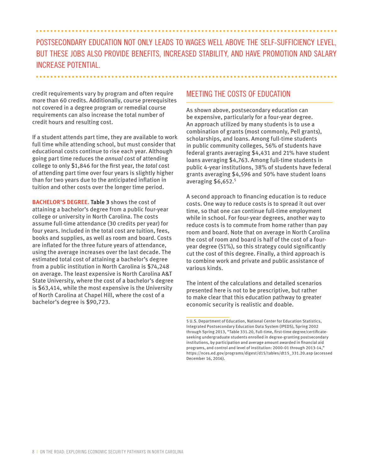## POSTSECONDARY EDUCATION NOT ONLY LEADS TO WAGES WELL ABOVE THE SELF-SUFFICIENCY LEVEL, BUT THESE JOBS ALSO PROVIDE BENEFITS, INCREASED STABILITY, AND HAVE PROMOTION AND SALARY INCREASE POTENTIAL.

credit requirements vary by program and often require more than 60 credits. Additionally, course prerequisites not covered in a degree program or remedial course requirements can also increase the total number of credit hours and resulting cost.

If a student attends part time, they are available to work full time while attending school, but must consider that educational costs continue to rise each year. Although going part time reduces the annual cost of attending college to only \$1,846 for the first year, the total cost of attending part time over four years is slightly higher than for two years due to the anticipated inflation in tuition and other costs over the longer time period.

**BACHELOR'S DEGREE. [Table 3](#page-8-0)** shows the cost of attaining a bachelor's degree from a public four-year college or university in North Carolina. The costs assume full-time attendance (30 credits per year) for four years. Included in the total cost are tuition, fees, books and supplies, as well as room and board. Costs are inflated for the three future years of attendance, using the average increases over the last decade. The estimated total cost of attaining a bachelor's degree from a public institution in North Carolina is \$74,248 on average. The least expensive is North Carolina A&T State University, where the cost of a bachelor's degree is \$63,414, while the most expensive is the University of North Carolina at Chapel Hill, where the cost of a bachelor's degree is \$90,723.

### MEETING THE COSTS OF EDUCATION

As shown above, postsecondary education can be expensive, particularly for a four-year degree. An approach utilized by many students is to use a combination of grants (most commonly, Pell grants), scholarships, and loans. Among full-time students in public community colleges, 56% of students have federal grants averaging \$4,431 and 21% have student loans averaging \$4,763. Among full-time students in public 4-year institutions, 38% of students have federal grants averaging \$4,596 and 50% have student loans averaging \$6,652.5

A second approach to financing education is to reduce costs. One way to reduce costs is to spread it out over time, so that one can continue full-time employment while in school. For four-year degrees, another way to reduce costs is to commute from home rather than pay room and board. Note that on average in North Carolina the cost of room and board is half of the cost of a fouryear degree (51%), so this strategy could significantly cut the cost of this degree. Finally, a third approach is to combine work and private and public assistance of various kinds.

The intent of the calculations and detailed scenarios presented here is not to be prescriptive, but rather to make clear that this education pathway to greater economic security is realistic and doable.

<sup>5</sup> U.S. Department of Education, National Center for Education Statistics, Integrated Postsecondary Education Data System (IPEDS), Spring 2002 through Spring 2013, "Table 331.20, Full-time, first-time degree/certificateseeking undergraduate students enrolled in degree-granting postsecondary institutions, by participation and average amount awarded in financial aid programs, and control and level of institution: 2000-01 through 2013-14," [https://nces.ed.gov/programs/digest/d15/tables/dt15\\_331.20.asp \(a](https://nces.ed.gov/programs/digest/d15/tables/dt15_331.20.asp)ccessed December 16, 2016).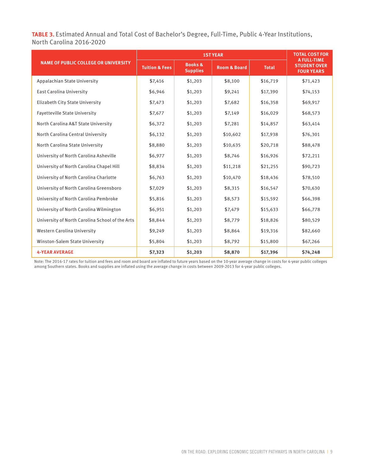<span id="page-8-0"></span>**Table 3.** Estimated Annual and Total Cost of Bachelor's Degree, Full-Time, Public 4-Year Institutions, North Carolina 2016-2020

|                                                 |                           | <b>1ST YEAR</b>                       |                         |              |                                                                |  |  |  |
|-------------------------------------------------|---------------------------|---------------------------------------|-------------------------|--------------|----------------------------------------------------------------|--|--|--|
| <b>NAME OF PUBLIC COLLEGE OR UNIVERSITY</b>     | <b>Tuition &amp; Fees</b> | <b>Books &amp;</b><br><b>Supplies</b> | <b>Room &amp; Board</b> | <b>Total</b> | <b>A FULL-TIME</b><br><b>STUDENT OVER</b><br><b>FOUR YEARS</b> |  |  |  |
| Appalachian State University                    | \$7,416                   | \$1,203                               | \$8,100                 | \$16,719     | \$71,423                                                       |  |  |  |
| East Carolina University                        | \$6,946                   | \$1,203                               | \$9,241                 | \$17,390     | \$74,153                                                       |  |  |  |
| Elizabeth City State University                 | \$7,473                   | \$1,203                               | \$7,682                 | \$16,358     | \$69,917                                                       |  |  |  |
| <b>Fayetteville State University</b>            | \$7,677                   | \$1,203                               | \$7,149                 | \$16,029     | \$68,573                                                       |  |  |  |
| North Carolina A&T State University             | \$6,372                   | \$1,203                               | \$7,281                 | \$14,857     | \$63,414                                                       |  |  |  |
| North Carolina Central University               | \$6,132                   | \$1,203                               | \$10,602                | \$17,938     | \$76,301                                                       |  |  |  |
| North Carolina State University                 | \$8,880                   | \$1,203                               | \$10,635                | \$20,718     | \$88,478                                                       |  |  |  |
| University of North Carolina Asheville          | \$6,977                   | \$1,203                               | \$8,746                 | \$16,926     | \$72,211                                                       |  |  |  |
| University of North Carolina Chapel Hill        | \$8,834                   | \$1,203                               | \$11,218                | \$21,255     | \$90,723                                                       |  |  |  |
| University of North Carolina Charlotte          | \$6,763                   | \$1,203                               | \$10,470                | \$18,436     | \$78,510                                                       |  |  |  |
| University of North Carolina Greensboro         | \$7,029                   | \$1,203                               | \$8,315                 | \$16,547     | \$70,630                                                       |  |  |  |
| University of North Carolina Pembroke           | \$5,816                   | \$1,203                               | \$8,573                 | \$15,592     | \$66,398                                                       |  |  |  |
| University of North Carolina Wilmington         | \$6,951                   | \$1,203                               | \$7,479                 | \$15,633     | \$66,778                                                       |  |  |  |
| University of North Carolina School of the Arts | \$8,844                   | \$1,203                               | \$8,779                 | \$18,826     | \$80,529                                                       |  |  |  |
| <b>Western Carolina University</b>              | \$9,249                   | \$1,203                               | \$8,864                 | \$19,316     | \$82,660                                                       |  |  |  |
| Winston-Salem State University                  | \$5,804                   | \$1,203                               | \$8,792                 | \$15,800     | \$67,266                                                       |  |  |  |
| <b>4-YEAR AVERAGE</b>                           | \$7,323                   | \$1,203                               | \$8,870                 | \$17,396     | \$74,248                                                       |  |  |  |

Note: The 2016-17 rates for tuition and fees and room and board are inflated to future years based on the 10-year average change in costs for 4-year public colleges among Southern states. Books and supplies are inflated using the average change in costs between 2009-2013 for 4-year public colleges.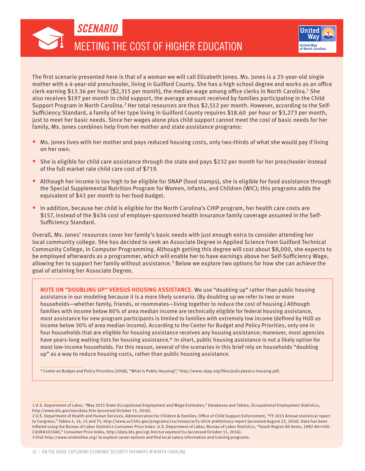*SCENARIO* 



The first scenario presented here is that of a woman we will call Elizabeth Jones. Ms. Jones is a 25-year-old single mother with a 4-year-old preschooler, living in Guilford County. She has a high school degree and works as an office clerk earning \$13.36 per hour (\$2,315 per month), the median wage among office clerks in North Carolina.<sup>1</sup> She also receives \$197 per month in child support, the average amount received by families participating in the Child Support Program in North Carolina.<sup>2</sup> Her total resources are thus \$2,512 per month. However, according to the Self-Sufficiency Standard, a family of her type living in Guilford County requires \$18.60 per hour or \$3,273 per month, just to meet her basic needs. Since her wages alone plus child support cannot meet the cost of basic needs for her family, Ms. Jones combines help from her mother and state assistance programs:

MEETING THE COST OF HIGHER EDUCATION

- Ms. Jones lives with her mother and pays reduced housing costs, only two-thirds of what she would pay if living on her own.
- She is eligible for child care assistance through the state and pays \$232 per month for her preschooler instead of the full market rate child care cost of \$719.
- Although her income is too high to be eligible for SNAP (food stamps), she is eligible for food assistance through the Special Supplemental Nutrition Program for Women, Infants, and Children (WIC); this programs adds the equivalent of \$43 per month to her food budget.
- In addition, because her child is eligible for the North Carolina's CHIP program, her health care costs are \$157, instead of the \$434 cost of employer-sponsored health insurance family coverage assumed in the Self-Sufficiency Standard.

Overall, Ms. Jones' resources cover her family's basic needs with just enough extra to consider attending her local community college. She has decided to seek an Associate Degree in Applied Science from Guilford Technical Community College, in Computer Programming. Although getting this degree will cost about \$8,000, she expects to be employed afterwards as a programmer, which will enable her to have earnings above her Self-Sufficiency Wage, allowing her to support her family without assistance.<sup>3</sup> Below we explore two options for how she can achieve the goal of attaining her Associate Degree.

**NOTE ON "DOUBLING UP" VERSUS HOUSING ASSISTANCE.** We use "doubling up" rather than public housing assistance in our modeling because it is a more likely scenario. (By doubling up we refer to two or more households—whether family, friends, or roommates—living together to reduce the cost of housing.) Although families with income below 80% of area median income are technically eligible for federal housing assistance, most assistance for new program participants is limited to families with extremely low income (defined by HUD as income below 30% of area median income). According to the Center for Budget and Policy Priorities, only one in four households that are eligible for housing assistance receives any housing assistance; moreover, most agencies have years-long waiting lists for housing assistance.\*<sup>1</sup>In short, public housing assistance is not a likely option for most low-income households. For this reason, several of the scenarios in this brief rely on households "doubling up" as a way to reduce housing costs, rather than public housing assistance.

\* Center on Budget and Policy Priorities (2008), "What is Public Housing?," [http://www.cbpp.org/files/policybasics-housing.pdf.](http://www.cbpp.org/files/policybasics-housing.pdf) 

2 U.S. Department of Health and Human Services, Administration for Children & Families, Office of Child Support Enforcement, "FY 2015 Annual statistical report to Congress," Tables 4, 14, 15 and 75, [http://www.acf.hhs.gov/programs/css/resource/fy-2014-preliminary-report \(a](http://www.acf.hhs.gov/programs/css/resource/fy-2014-preliminary-report)ccessed August 22, 2016). Data has been inflated using the Bureau of Labor Statistics Consumer Price Index. U.S. Department of Labor, Bureau of Labor Statistics, "South Region All Items, 1982-84=100 -CUURA101SA0," Consumer Price Index, [http://data.bls.gov/cgi-bin/surveymost?cu \(a](http://data.bls.gov/cgi-bin/surveymost?cu)ccessed October 11, 2016).

3 Visit [http://www.onetonline.org/ to](http://www.onetonline.org/) explore career options and find local salary information and training programs.

<sup>1</sup> U.S. Department of Labor, "May 2015 State Occupational Employment and Wage Estimates," Databases and Tables, Occupational Employment Statistics, [http://www.bls.gov/oes/data.htm \(a](http://www.bls.gov/oes/data.htm)ccessed October 11, 2016).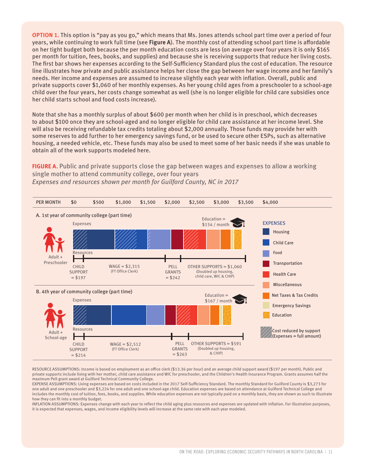**OPTION 1.** This option is "pay as you go," which means that Ms. Jones attends school part time over a period of four years, while continuing to work full time (see **[Figure A](#page-10-0)**). The monthly cost of attending school part time is affordable on her tight budget both because the per month education costs are less (on average over four years it is only \$165 per month for tuition, fees, books, and supplies) and because she is receiving supports that reduce her living costs. The first bar shows her expenses according to the Self-Sufficiency Standard plus the cost of education. The resource line illustrates how private and public assistance helps her close the gap between her wage income and her family's needs. Her income and expenses are assumed to increase slightly each year with inflation. Overall, public and private supports cover \$1,060 of her monthly expenses. As her young child ages from a preschooler to a school-age child over the four years, her costs change somewhat as well (she is no longer eligible for child care subsidies once her child starts school and food costs increase).

Note that she has a monthly surplus of about \$600 per month when her child is in preschool, which decreases to about \$100 once they are school-aged and no longer eligible for child care assistance at her income level. She will also be receiving refundable tax credits totaling about \$2,000 annually. Those funds may provide her with some reserves to add further to her emergency savings fund, or be used to secure other ESPs, such as alternative housing, a needed vehicle, etc. These funds may also be used to meet some of her basic needs if she was unable to obtain all of the work supports modeled here.

<span id="page-10-0"></span>**FIGURE A.** Public and private supports close the gap between wages and expenses to allow a working single mother to attend community college, over four years Expenses and resources shown per month for Guilford County, NC in 2017



RESOURCE ASSUMPTIONS: Income is based on employment as an office clerk (\$13.36 per hour) and an average child support award (\$197 per month). Public and private supports include living with her mother, child care assistance and WIC for preschooler, and the Children's Health Insurance Program. Grants assumes half the maximum Pell grant award at Guilford Technical Community College.

EXPENSE ASSUMPTIONS: Living expenses are based on costs included in the 2017 Self-Sufficiency Standard. The monthly Standard for Guilford County is \$3,273 for one adult and one preschooler and \$3,224 for one adult and one school-age child. Education expenses are based on attendance at Guilford Technical College and includes the monthly cost of tuition, fees, books, and supplies. While education expenses are not typically paid on a monthly basis, they are shown as such to illustrate how they can fit into a monthly budget.

INFLATION ASSUMPTIONS: Expenses change with each year to reflect the child aging plus resources and expenses are updated with inflation. For illustration purposes, it is expected that expenses, wages, and income eligibility levels will increase at the same rate with each year modeled.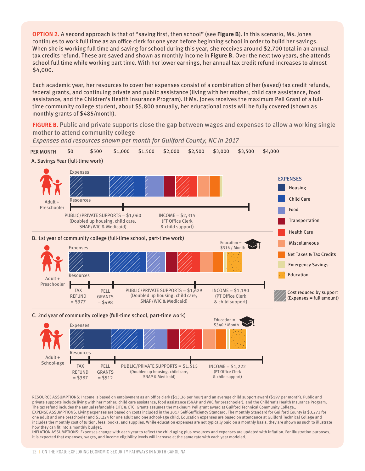**OPTION 2.** A second approach is that of "saving first, then school" (see **[Figure B](#page-11-0)**). In this scenario, Ms. Jones continues to work full time as an office clerk for one year before beginning school in order to build her savings. When she is working full time and saving for school during this year, she receives around \$2,700 total in an annual tax credits refund. These are saved and shown as monthly income in **[Figure B](#page-11-0)**. Over the next two years, she attends school full time while working part time. With her lower earnings, her annual tax credit refund increases to almost \$4,000.

Each academic year, her resources to cover her expenses consist of a combination of her (saved) tax credit refunds, federal grants, and continuing private and public assistance (living with her mother, child care assistance, food assistance, and the Children's Health Insurance Program). If Ms. Jones receives the maximum Pell Grant of a fulltime community college student, about \$5,800 annually, her educational costs will be fully covered (shown as monthly grants of \$485/month).

<span id="page-11-0"></span>**Figure B.** Public and private supports close the gap between wages and expenses to allow a working single mother to attend community college

Housing Child Care Food **Transportation** Health Care Miscellaneous Net Taxes & Tax Credits Emergency Savings Education **EXPENSES** C. 2nd year of community college (full-time school, part-time work) B. 1st year of community college (full-time school, part-time work) PER MONTH Education = Expenses \$340 / Month Resources  $INCOMF = $1,222$ (PT Office Clerk & child support) TAX REFUND  $= $387$ PELL GRANTS  $= $512$ PUBLIC/PRIVATE SUPPORTS = \$1,515 Expenses Resources Education = \$316 / Month  $INCOME = $1,190$ (PT Office Clerk & child support) TAX REFUND  $= $377$ PELL GRANTS  $= $498$ PUBLIC/PRIVATE SUPPORTS =  $$1,629$  INCOME =  $$1,190$  Cost reduced by support (Doubled up housing, child care, (PT Office Clerk (Expenses = full amount) SNAP/WIC & Medicaid) (Doubled up housing, child care, SNAP & Medicaid) Adult + Preschooler Adult + School-age A. Savings Year (full-time work)  $A$ dult + Preschooler Expenses Resources  $INCOME = $2,315$ (FT Office Clerk & child support) (Doubled up housing, child care, SNAP/WIC & Medicaid) PUBLIC/PRIVATE SUPPORTS = \$1,060 \$0 \$500 \$1,000 \$1,500 \$2,000 \$2,500 \$3,000 \$3,500 \$4,000

Expenses and resources shown per month for Guilford County, NC in 2017

RESOURCE ASSUMPTIONS: Income is based on employment as an office clerk (\$13.36 per hour) and an average child support award (\$197 per month). Public and private supports include living with her mother, child care assistance, food assistance (SNAP and WIC for preschooler), and the Children's Health Insurance Program. The tax refund includes the annual refundable EITC & CTC. Grants assumes the maximum Pell grant award at Guilford Technical Community College.. EXPENSE ASSUMPTIONS: Living expenses are based on costs included in the 2017 Self-Sufficiency Standard. The monthly Standard for Guilford County is \$3,273 for one adult and one preschooler and \$3,224 for one adult and one school-age child. Education expenses are based on attendance at Guilford Technical College and includes the monthly cost of tuition, fees, books, and supplies. While education expenses are not typically paid on a monthly basis, they are shown as such to illustrate how they can fit into a monthly budget.

INFLATION ASSUMPTIONS: Expenses change with each year to reflect the child aging plus resources and expenses are updated with inflation. For illustration purposes, it is expected that expenses, wages, and income eligibility levels will increase at the same rate with each year modeled.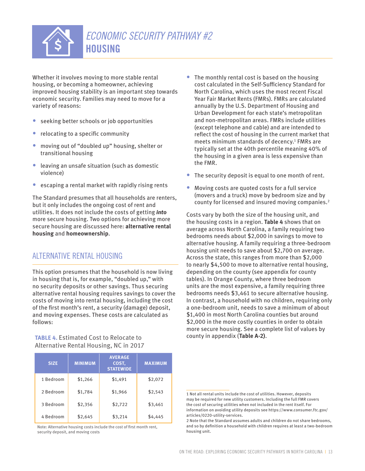

Whether it involves moving to more stable rental housing, or becoming a homeowner, achieving improved housing stability is an important step towards economic security. Families may need to move for a variety of reasons:

- seeking better schools or job opportunities
- relocating to a specific community
- moving out of "doubled up" housing, shelter or transitional housing
- leaving an unsafe situation (such as domestic violence)
- escaping a rental market with rapidly rising rents

The Standard presumes that all households are renters, but it only includes the ongoing cost of rent and utilities. It does not include the costs of getting *into* more secure housing. Two options for achieving more secure housing are discussed here: **alternative rental housing** and **homeownership**.

### ALTERNATIVE RENTAL HOUSING

This option presumes that the household is now living in housing that is, for example, "doubled up," with no security deposits or other savings. Thus securing alternative rental housing requires savings to cover the costs of moving into rental housing, including the cost of the first month's rent, a security (damage) deposit, and moving expenses. These costs are calculated as follows:

<span id="page-12-0"></span>**Table 4.** Estimated Cost to Relocate to Alternative Rental Housing, NC in 2017

| <b>SIZE</b> | <b>MINIMUM</b> | <b>AVERAGE</b><br>COST.<br><b>STATEWIDE</b> | <b>MAXIMUM</b> |
|-------------|----------------|---------------------------------------------|----------------|
| 1 Bedroom   | \$1,266        | \$1,491                                     | \$2,072        |
| 2 Bedroom   | \$1,784        | \$1,966                                     | \$2,543        |
| 3 Bedroom   | \$2,356        | \$2,722                                     | \$3,461        |
| 4 Bedroom   | \$2,645        | \$3,214                                     | \$4,445        |

Note: Alternative housing costs include the cost of first month rent, security deposit, and moving costs

- The monthly rental cost is based on the housing cost calculated in the Self-Sufficiency Standard for North Carolina, which uses the most recent Fiscal Year Fair Market Rents (FMRs). FMRs are calculated annually by the U.S. Department of Housing and Urban Development for each state's metropolitan and non-metropolitan areas. FMRs include utilities (except telephone and cable) and are intended to reflect the cost of housing in the current market that meets minimum standards of decency.<sup>1</sup> FMRs are typically set at the 40th percentile meaning 40% of the housing in a given area is less expensive than the FMR.
- The security deposit is equal to one month of rent.
- Moving costs are quoted costs for a full service (movers and a truck) move by bedroom size and by county for licensed and insured moving companies.<sup>2</sup>

Costs vary by both the size of the housing unit, and the housing costs in a region. **[Table 4](#page-12-0)** shows that on average across North Carolina, a family requiring two bedrooms needs about \$2,000 in savings to move to alternative housing. A family requiring a three-bedroom housing unit needs to save about \$2,700 on average. Across the state, this ranges from more than \$2,000 to nearly \$4,500 to move to alternative rental housing, depending on the county (see appendix for county tables). In Orange County, where three bedroom units are the most expensive, a family requiring three bedrooms needs \$3,461 to secure alternative housing. In contrast, a household with no children, requiring only a one-bedroom unit, needs to save a minimum of about \$1,400 in most North Carolina counties but around \$2,000 in the more costly counties in order to obtain more secure housing. See a complete list of values by county in appendix (**[Table A-2\)](#page-28-0)**.

<sup>1</sup> Not all rental units include the cost of utilities. However, deposits may be required for new utility customers. Including the full FMR covers the cost of securing utilities when not included in the rent itself. For information on avoiding utility deposits see [https://www.consumer.ftc.gov/](https://www.consumer.ftc.gov/articles/0220-utility-services) [articles/0220-utility-services.](https://www.consumer.ftc.gov/articles/0220-utility-services)

<sup>2</sup> Note that the Standard assumes adults and children do not share bedrooms, and so by definition a household with children requires at least a two-bedroom housing unit.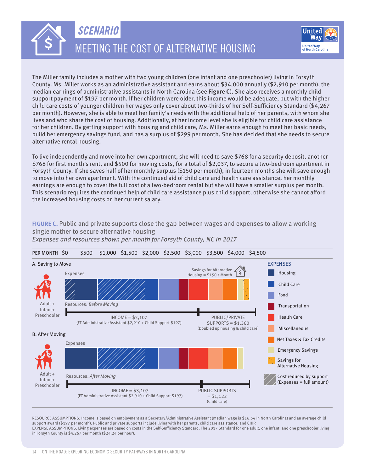



The Miller family includes a mother with two young children (one infant and one preschooler) living in Forsyth County. Ms. Miller works as an administrative assistant and earns about \$34,000 annually (\$2,910 per month), the median earnings of administrative assistants in North Carolina (see **[Figure C](#page-13-0)**). She also receives a monthly child support payment of \$197 per month. If her children were older, this income would be adequate, but with the higher child care costs of younger children her wages only cover about two-thirds of her Self-Sufficiency Standard (\$4,267 per month). However, she is able to meet her family's needs with the additional help of her parents, with whom she lives and who share the cost of housing. Additionally, at her income level she is eligible for child care assistance for her children. By getting support with housing and child care, Ms. Miller earns enough to meet her basic needs, build her emergency savings fund, and has a surplus of \$299 per month. She has decided that she needs to secure alternative rental housing.

To live independently and move into her own apartment, she will need to save \$768 for a security deposit, another \$768 for first month's rent, and \$500 for moving costs, for a total of \$2,037, to secure a two-bedroom apartment in Forsyth County. If she saves half of her monthly surplus (\$150 per month), in fourteen months she will save enough to move into her own apartment. With the continued aid of child care and health care assistance, her monthly earnings are enough to cover the full cost of a two-bedroom rental but she will have a smaller surplus per month. This scenario requires the continued help of child care assistance plus child support, otherwise she cannot afford the increased housing costs on her current salary.

<span id="page-13-0"></span>**Figure C.** Public and private supports close the gap between wages and expenses to allow a working single mother to secure alternative housing

Expenses and resources shown per month for Forsyth County, NC in 2017



RESOURCE ASSUMPTIONS: Income is based on employment as a Secretary/Administrative Assistant (median wage is \$16.54 in North Carolina) and an average child support award (\$197 per month). Public and private supports include living with her parents, child care assistance, and CHIP. EXPENSE ASSUMPTIONS: Living expenses are based on costs in the Self-Sufficiency Standard. The 2017 Standard for one adult, one infant, and one preschooler living in Forsyth County is \$4,267 per month (\$24.24 per hour).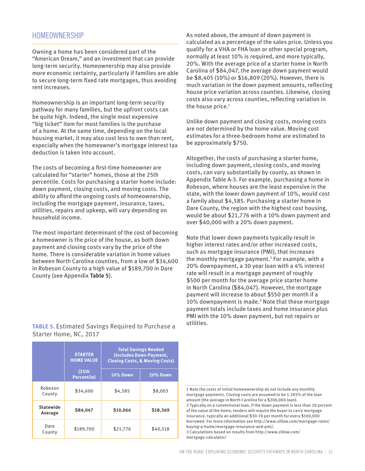#### HOMEOWNERSHIP

Owning a home has been considered part of the "American Dream," and an investment that can provide long-term security. Homeownership may also provide more economic certainty, particularly if families are able to secure long-term fixed rate mortgages, thus avoiding rent increases.

Homeownership is an important long-term security pathway for many families, but the upfront costs can be quite high. Indeed, the single most expensive "big ticket" item for most families is the purchase of a home. At the same time, depending on the local housing market, it may also cost less to own than rent, especially when the homeowner's mortgage interest tax deduction is taken into account.

The costs of becoming a first-time homeowner are calculated for "starter" homes, those at the 25th percentile. Costs for purchasing a starter home include: down payment, closing costs, and moving costs. The ability to afford the ongoing costs of homeownership, including the mortgage payment, insurance, taxes, utilities, repairs and upkeep, will vary depending on household income.

The most important determinant of the cost of becoming a homeowner is the price of the house, as both down payment and closing costs vary by the price of the home. There is considerable variation in home values between North Carolina counties, from a low of \$34,600 in Robeson County to a high value of \$189,700 in Dare County (see Appendix **Table 5**).

As noted above, the amount of down payment is calculated as a percentage of the sales price. Unless you qualify for a VHA or FHA loan or other special program, normally at least 10% is required, and more typically, 20%. With the average price of a starter home in North Carolina of \$84,047, the average down payment would be \$8,405 (10%) or \$16,809 (20%). However, there is much variation in the down payment amounts, reflecting house price variation across counties. Likewise, closing costs also vary across counties, reflecting variation in the house price.<sup>1</sup>

Unlike down payment and closing costs, moving costs are not determined by the home value. Moving cost estimates for a three-bedroom home are estimated to be approximately \$750.

Altogether, the costs of purchasing a starter home, including down payment, closing costs, and moving costs, can vary substantially by county, as shown in Appendix [Table A-3](#page-30-0). For example, purchasing a home in Robeson, where houses are the least expensive in the state, with the lower down payment of 10%, would cost a family about \$4,585. Purchasing a starter home in Dare County, the region with the highest cost housing, would be about \$21,776 with a 10% down payment and over \$40,000 with a 20% down payment.

Note that lower down payments typically result in higher interest rates and/or other increased costs, such as mortgage insurance (PMI), that increases the monthly mortgage payment.<sup>2</sup> For example, with a 20% downpayment, a 30 year loan with a 4% interest rate will result in a mortgage payment of roughly \$500 per month for the average price starter home in North Carolina (\$84,047). However, the mortgage payment will increase to about \$550 per month if a 10% downpayment is made.<sup>3</sup> Note that these mortgage payment totals include taxes and home insurance plus PMI with the 10% down payment, but not repairs or utilities.

**Table 5.** Estimated Savings Required to Purchase a Starter Home, NC, 2017

|                             | <b>STARTER</b><br><b>HOME VALUE</b> | <b>Total Savings Needed</b><br>(Includes Down Payment,<br><b>Closing Costs, &amp; Moving Costs)</b> |          |  |  |
|-----------------------------|-------------------------------------|-----------------------------------------------------------------------------------------------------|----------|--|--|
|                             | (25th)<br><b>Percentile)</b>        | 10% Down                                                                                            | 20% Down |  |  |
| Robeson<br>County           | \$34,600                            | \$4,585                                                                                             | \$8,003  |  |  |
| <b>Statewide</b><br>Average | <b>\$84.047</b>                     | \$10,066                                                                                            | \$18,369 |  |  |
| Dare<br>County              | \$189,700                           | \$21,776                                                                                            | \$40,518 |  |  |

1 Note the costs of initial homeownership do not include any monthly mortgage payments. Closing costs are assumed to be 1.205% of the loan amount (the average in North Carolina for a \$200,000 loan). 2 Typically on a conventional loan, if the down payment is less than 20 percent of the value of the home, lenders will require the buyer to carry mortgage insurance, typically an additional \$30-70 per month for every \$100,000 borrowed. For more information see<http://www.zillow.com/mortgage-rates/> buying-a-home/mortgage-insurance-and-pmi/. 3 Calculations based on results from <http://www.zillow.com/> mortgage-calculator/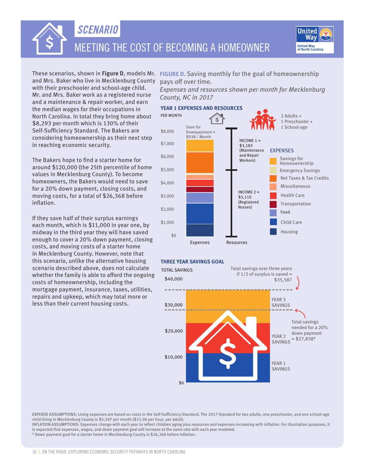



and Mrs. Baker who live in Mecklenburg County with their preschooler and school-age child. Mr. and Mrs. Baker work as a registered nurse and a maintenance & repair worker, and earn the median wages for their occupations in North Carolina. In total they bring home about \$8,293 per month which is 130% of their Self-Sufficiency Standard. The Bakers are considering homeownership as their next step in reaching economic security.

The Bakers hope to find a starter home for around \$120,000 (the 25th percentile of home values in Mecklenburg County). To become homeowners, the Bakers would need to save for a 20% down payment, closing costs, and moving costs, for a total of \$26,368 before inflation.

If they save half of their surplus earnings each month, which is \$11,000 in year one, by midway in the third year they will have saved enough to cover a 20% down payment, closing costs, and moving costs of a starter home in Mecklenburg County. However, note that this scenario, unlike the alternative housing scenario described above, does not calculate whether the family is able to afford the ongoing costs of homeownership, including the mortgage payment, insurance, taxes, utilities, repairs and upkeep, which may total more or less than their current housing costs.

These scenarios, shown in **[Figure D](#page-15-0)**, models Mr. **Figure D.** Saving monthly for the goal of homeownership pays off over time.

> <span id="page-15-0"></span>Expenses and resources shown per month for Mecklenburg County, NC in 2017



EXPENSE ASSUMPTIONS: Living expenses are based on costs in the Self-Sufficiency Standard. The 2017 Standard for two adults, one preschooler, and one school-age child living in Mecklenburg County is \$5,597 per month (\$15.90 per hour, per adult).

 $$0$ 

INFLATION ASSUMPTIONS: Expenses change with each year to reflect children aging plus resources and expenses increasing with inflation. For illustration purposes, it is expected that expenses, wages, and down payment goal will increase at the same rate with each year modeled.

\* Down payment goal for a starter home in Mecklenburg County is \$26,368 before inflation.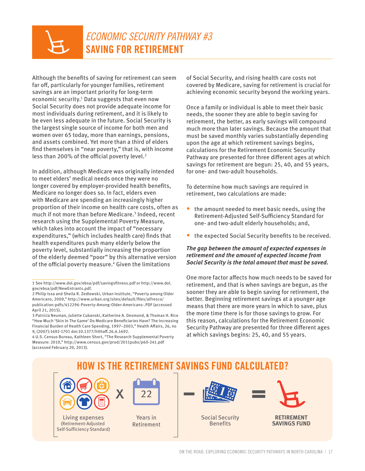Although the benefits of saving for retirement can seem far off, particularly for younger families, retirement savings are an important priority for long-term economic security.<sup>1</sup> Data suggests that even now Social Security does not provide adequate income for most individuals during retirement, and it is likely to be even less adequate in the future. Social Security is the largest single source of income for both men and women over 65 today, more than earnings, pensions, and assets combined. Yet more than a third of elders find themselves in "near poverty," that is, with income less than 200% of the official poverty level.<sup>2</sup>

In addition, although Medicare was originally intended to meet elders' medical needs once they were no longer covered by employer-provided health benefits, Medicare no longer does so. In fact, elders even with Medicare are spending an increasingly higher proportion of their income on health care costs, often as much if not more than before Medicare.3 Indeed, recent research using the Supplemental Poverty Measure, which takes into account the impact of "necessary expenditures," (which includes health care) finds that health expenditures push many elderly below the poverty level, substantially increasing the proportion of the elderly deemed "poor" by this alternative version of the official poverty measure.4 Given the limitations

of Social Security, and rising health care costs not covered by Medicare, saving for retirement is crucial for achieving economic security beyond the working years.

Once a family or individual is able to meet their basic needs, the sooner they are able to begin saving for retirement, the better, as early savings will compound much more than later savings. Because the amount that must be saved monthly varies substantially depending upon the age at which retirement savings begins, calculations for the Retirement Economic Security Pathway are presented for three different ages at which savings for retirement are begun: 25, 40, and 55 years, for one- and two-adult households.

To determine how much savings are required in retirement, two calculations are made:

- the amount needed to meet basic needs, using the Retirement-Adjusted Self-Sufficiency Standard for one- and two-adult elderly households; and,
- the expected Social Security benefits to be received.

#### *The gap between the amount of expected expenses in retirement and the amount of expected income from Social Security is the total amount that must be saved.*

One more factor affects how much needs to be saved for retirement, and that is when savings are begun, as the sooner they are able to begin saving for retirement, the better. Beginning retirement savings at a younger age means that there are more years in which to save, plus the more time there is for those savings to grow. For this reason, calculations for the Retirement Economic Security Pathway are presented for three different ages at which savings begins: 25, 40, and 55 years.



<sup>1</sup> See [http://www.dol.gov/ebsa/pdf/savingsfitness.pdf or](http://www.dol.gov/ebsa/pdf/savingsfitness.pdf) [http://www.dol.](http://www.dol.gov/ebsa/pdf/NewEntrants.pdf) [gov/ebsa/pdf/NewEntrants.pdf.](http://www.dol.gov/ebsa/pdf/NewEntrants.pdf)

<sup>2</sup> Philip Issa and Sheila R. Zedlewski, Urban Institute, "Poverty among Older Americans, 2009," [http://www.urban.org/sites/default/files/alfresco/](http://www.urban.org/sites/default/files/alfresco/publication-pdfs/412296-Poverty-Among-Older-Americans-.PDF) [publication-pdfs/412296-Poverty-Among-Older-Americans-.PDF \(a](http://www.urban.org/sites/default/files/alfresco/publication-pdfs/412296-Poverty-Among-Older-Americans-.PDF)ccessed  $April 21, 2015$ 

<sup>3</sup> Patricia Neuman, Juliette Cubanski, Katherine A. Desmond, & Thomas H. Rice "How Much 'Skin In The Game' Do Medicare Beneficiaries Have? The Increasing Financial Burden of Health Care Spending, 1997–2003," Health Affairs, 26, no 9, (2007):1692-1701 doi:10.1377/hlthaff.26.6.1692.

<sup>4</sup> U.S. Census Bureau, Kathleen Short, "The Research Supplemental Poverty Measure: 2010," <http://www.census.gov/prod/2011pubs/p60-241.pdf> (accessed February 20, 2013).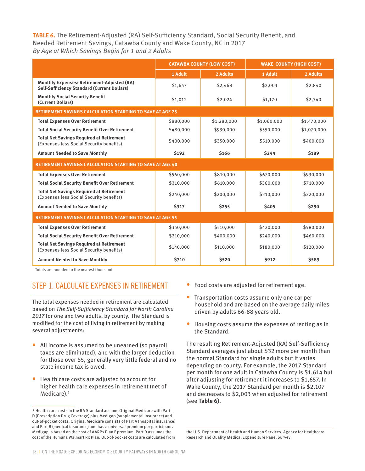#### <span id="page-17-0"></span>**Table 6.** The Retirement-Adjusted (RA) Self-Sufficiency Standard, Social Security Benefit, and Needed Retirement Savings, Catawba County and Wake County, NC in 2017 By Age at Which Savings Begin for 1 and 2 Adults

|                                                                                                  |              | <b>CATAWBA COUNTY (LOW COST)</b> | <b>WAKE COUNTY (HIGH COST)</b> |              |  |
|--------------------------------------------------------------------------------------------------|--------------|----------------------------------|--------------------------------|--------------|--|
|                                                                                                  | 1 Adult      | 2 Adults                         | 1 Adult                        | 2 Adults     |  |
| Monthly Expenses: Retirement-Adjusted (RA)<br><b>Self-Sufficiency Standard (Current Dollars)</b> | \$1,657      | \$2,468                          | \$2,003                        | \$2,840      |  |
| <b>Monthly Social Security Benefit</b><br>(Current Dollars)                                      | \$1,012      | \$2,024                          | \$1,170                        | \$2,340      |  |
| <b>RETIREMENT SAVINGS CALCULATION STARTING TO SAVE AT AGE 25</b>                                 |              |                                  |                                |              |  |
| <b>Total Expenses Over Retirement</b>                                                            | \$880,000    | \$1,280,000                      | \$1,060,000                    | \$1,470,000  |  |
| <b>Total Social Security Benefit Over Retirement</b>                                             | \$480,000    | \$930,000                        | \$550,000                      | \$1,070,000  |  |
| <b>Total Net Savings Required at Retirement</b><br>(Expenses less Social Security benefits)      | \$400,000    | \$350,000                        | \$510,000                      | \$400,000    |  |
| <b>Amount Needed to Save Monthly</b>                                                             | <b>S192</b>  | <b>\$166</b>                     | <b>S244</b>                    | <b>\$189</b> |  |
| <b>RETIREMENT SAVINGS CALCULATION STARTING TO SAVE AT AGE 40</b>                                 |              |                                  |                                |              |  |
| <b>Total Expenses Over Retirement</b>                                                            | \$560,000    | \$810,000                        | \$670,000                      | \$930,000    |  |
| <b>Total Social Security Benefit Over Retirement</b>                                             | \$310,000    | \$610,000                        | \$360,000                      | \$710,000    |  |
| <b>Total Net Savings Required at Retirement</b><br>(Expenses less Social Security benefits)      | \$240,000    | \$200,000                        | \$310,000                      | \$220,000    |  |
| <b>Amount Needed to Save Monthly</b>                                                             | <b>\$317</b> | <b>S255</b>                      | <b>\$405</b>                   | <b>\$290</b> |  |
| <b>RETIREMENT SAVINGS CALCULATION STARTING TO SAVE AT AGE 55</b>                                 |              |                                  |                                |              |  |
| <b>Total Expenses Over Retirement</b>                                                            | \$350,000    | \$510,000                        | \$420,000                      | \$580,000    |  |
| <b>Total Social Security Benefit Over Retirement</b>                                             | \$210,000    | \$400,000                        | \$240,000                      | \$460,000    |  |
| <b>Total Net Savings Required at Retirement</b><br>(Expenses less Social Security benefits)      | \$140,000    | \$110,000                        | \$180,000                      | \$120,000    |  |
| <b>Amount Needed to Save Monthly</b>                                                             | <b>\$710</b> | <b>\$520</b>                     | <b>S912</b>                    | <b>\$589</b> |  |

Totals are rounded to the nearest thousand.

## STEP 1. CALCULATE EXPENSES IN RETIREMENT

The total expenses needed in retirement are calculated based on The Self-Sufficiency Standard for North Carolina 2017 for one and two adults, by county. The Standard is modified for the cost of living in retirement by making several adjustments:

- All income is assumed to be unearned (so payroll taxes are eliminated), and with the larger deduction for those over 65, generally very little federal and no state income tax is owed.
- Health care costs are adjusted to account for higher health care expenses in retirement (net of Medicare).<sup>5</sup>
- Food costs are adjusted for retirement age.
- Transportation costs assume only one car per household and are based on the average daily miles driven by adults 66-88 years old.
- Housing costs assume the expenses of renting as in the Standard.

The resulting Retirement-Adjusted (RA) Self-Sufficiency Standard averages just about \$32 more per month than the normal Standard for single adults but it varies depending on county. For example, the 2017 Standard per month for one adult in Catawba County is \$1,614 but after adjusting for retirement it increases to \$1,657. In Wake County, the 2017 Standard per month is \$2,107 and decreases to \$2,003 when adjusted for retirement (see **[Table 6](#page-17-0)**).

the U.S. Department of Health and Human Services, Agency for Healthcare Research and Quality Medical Expenditure Panel Survey.

<sup>5</sup> Health care costs in the RA Standard assume Original Medicare with Part D (Prescription Drug Coverage) plus Medigap (supplemental insurance) and out-of-pocket costs. Original Medicare consists of Part A (hospital insurance) and Part B (medical insurance) and has a universal premium per participant. Medigap is based on the cost of AARPs Plan F premium. Part D assumes the cost of the Humana Walmart Rx Plan. Out-of-pocket costs are calculated from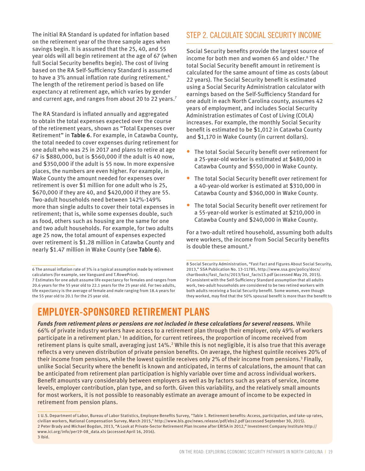The initial RA Standard is updated for inflation based on the retirement year of the three sample ages when savings begin. It is assumed that the 25, 40, and 55 year olds will all begin retirement at the age of 67 (when full Social Security benefits begin). The cost of living based on the RA Self-Sufficiency Standard is assumed to have a 3% annual inflation rate during retirement.6 The length of the retirement period is based on life expectancy at retirement age, which varies by gender and current age, and ranges from about 20 to 22 years.<sup>7</sup>

The RA Standard is inflated annually and aggregated to obtain the total expenses expected over the course of the retirement years, shown as "Total Expenses over Retirement" in **[Table 6](#page-17-0)**. For example, in Catawba County, the total needed to cover expenses during retirement for one adult who was 25 in 2017 and plans to retire at age 67 is \$880,000, but is \$560,000 if the adult is 40 now, and \$350,000 if the adult is 55 now. In more expensive places, the numbers are even higher. For example, in Wake County the amount needed for expenses over retirement is over \$1 million for one adult who is 25, \$670,000 if they are 40, and \$420,000 if they are 55. Two-adult households need between 142%-149% more than single adults to cover their total expenses in retirement; that is, while some expenses double, such as food, others such as housing are the same for one and two adult households. For example, for two adults age 25 now, the total amount of expenses expected over retirement is \$1.28 million in Catawba County and nearly \$1.47 million in Wake County (see **[Table 6](#page-17-0)**).

## STEP 2. CALCULATE SOCIAL SECURITY INCOME

Social Security benefits provide the largest source of income for both men and women 65 and older.8 The total Social Security benefit amount in retirement is calculated for the same amount of time as costs (about 22 years). The Social Security benefit is estimated using a Social Security Administration calculator with earnings based on the Self-Sufficiency Standard for one adult in each North Carolina county, assumes 42 years of employment, and includes Social Security Administration estimates of Cost of Living (COLA) increases. For example, the monthly Social Security benefit is estimated to be \$1,012 in Catawba County and \$1,170 in Wake County (in current dollars).

- The total Social Security benefit over retirement for a 25-year-old worker is estimated at \$480,000 in Catawba County and \$550,000 in Wake County.
- The total Social Security benefit over retirement for a 40-year-old worker is estimated at \$310,000 in Catawba County and \$360,000 in Wake County.
- The total Social Security benefit over retirement for a 55-year-old worker is estimated at \$210,000 in Catawba County and \$240,000 in Wake County.

For a two-adult retired household, assuming both adults were workers, the income from Social Security benefits is double these amount.<sup>9</sup>

## EMPLOYER-SPONSORED RETIREMENT PLANS

*Funds from retirement plans or pensions are not included in these calculations for several reasons.* While 66% of private industry workers have access to a retirement plan through their employer, only 49% of workers participate in a retirement plan.<sup>1</sup> In addition, for current retirees, the proportion of income received from retirement plans is quite small, averaging just 14%.<sup>2</sup> While this is not negligible, it is also true that this average reflects a very uneven distribution of private pension benefits. On average, the highest quintile receives 20% of their income from pensions, while the lowest quintile receives only 2% of their income from pensions.<sup>3</sup> Finally, unlike Social Security where the benefit is known and anticipated, in terms of calculations, the amount that can be anticipated from retirement plan participation is highly variable over time and across individual workers. Benefit amounts vary considerably between employers as well as by factors such as years of service, income levels, employer contribution, plan type, and so forth. Given this variability, and the relatively small amounts for most workers, it is not possible to reasonably estimate an average amount of income to be expected in retirement from pension plans.

<sup>6</sup> The annual inflation rate of 3% is a typical assumption made by retirement calculators (for example, see Vanguard and T.RowePrice).

<sup>7</sup> Estimates for one adult assume life expectancy for females and ranges from 20.6 years for the 55 year old to 22.1 years for the 25 year old. For two adults, life expectancy is the average of female and male ranging from 18.4 years for the 55 year old to 20.1 for the 25 year old.

<sup>8</sup> Social Security Administration, "Fast Fact and Figures About Social Security, 2013," SSA Publication No. 13-11785, [http://www.ssa.gov/policy/docs/](http://www.ssa.gov/policy/docs/chartbooks/fast_facts/2013/fast_facts13.pdf) [chartbooks/fast\\_facts/2013/fast\\_facts13.pdf \(a](http://www.ssa.gov/policy/docs/chartbooks/fast_facts/2013/fast_facts13.pdf)ccessed May 20, 2015). 9 Consistent with the Self-Sufficiency Standard assumption that all adults work, two-adult households are considered to be two retired workers with both adults receiving a Social Security benefit. Some women, even though they worked, may find that the 50% spousal benefit is more than the benefit to

<sup>1</sup> U.S. Department of Labor, Bureau of Labor Statistics, Employee Benefits Survey, "Table 1. Retirement benefits: Access, participation, and take-up rates, civilian workers, National Compensation Survey, March 2015," [http://www.bls.gov/news.release/pdf/ebs2.pdf \(acc](http://www.bls.gov/news.release/pdf/ebs2.pdf)essed September 30, 2015). 2 Peter Brady and Michael Bogdan, 2013, "A Look at Private-Sector Retirement Plan Income after ERISA in 2012," Investment Company Institute [http://](http://www.ici.org/info/per19-08_data.xls) [www.ici.org/info/per19-08\\_data.xls \(a](http://www.ici.org/info/per19-08_data.xls)ccessed April 16, 2016). 3 Ibid.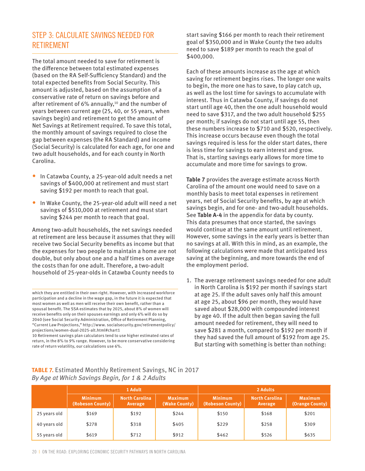## STEP 3: CALCULATE SAVINGS NEEDED FOR RETIREMENT

The total amount needed to save for retirement is the difference between total estimated expenses (based on the RA Self-Sufficiency Standard) and the total expected benefits from Social Security. This amount is adjusted, based on the assumption of a conservative rate of return on savings before and after retirement of 6% annually, $10$  and the number of years between current age (25, 40, or 55 years, when savings begin) and retirement to get the amount of Net Savings at Retirement required. To save this total, the monthly amount of savings required to close the gap between expenses (the RA Standard) and income (Social Security) is calculated for each age, for one and two adult households, and for each county in North Carolina.

- In Catawba County, a 25-year-old adult needs a net savings of \$400,000 at retirement and must start saving \$192 per month to reach that goal.
- In Wake County, the 25-year-old adult will need a net savings of \$510,000 at retirement and must start saving \$244 per month to reach that goal.

Among two-adult households, the net savings needed at retirement are less because it assumes that they will receive two Social Security benefits as income but that the expenses for two people to maintain a home are not double, but only about one and a half times on average the costs than for one adult. Therefore, a two-adult household of 25-year-olds in Catawba County needs to

which they are entitled in their own right. However, with increased workforce participation and a decline in the wage gap, in the future it is expected that most women as well as men will receive their own benefit, rather than a spousal benefit. The SSA estimates that by 2025, about 8% of women will receive benefits only on their spouses earnings and only 6% will do so by 2040 (see Social Security Administration, Office of Retirement Planning, "Current Law Projections," [http://www. so](http://www)cialsecurity.gov/retirementpolicy/ projections/women-dual-2025-alt.html#chart1

10 Retirement savings plan calculators tend to use higher estimated rates of return, in the 8% to 9% range. However, to be more conservative considering rate of return volatility, our calculations use 6%.

start saving \$166 per month to reach their retirement goal of \$350,000 and in Wake County the two adults need to save \$189 per month to reach the goal of \$400,000.

Each of these amounts increase as the age at which saving for retirement begins rises. The longer one waits to begin, the more one has to save, to play catch up, as well as the lost time for savings to accumulate with interest. Thus in Catawba County, if savings do not start until age 40, then the one adult household would need to save \$317, and the two adult household \$255 per month; if savings do not start until age 55, then these numbers increase to \$710 and \$520, respectively. This increase occurs because even though the total savings required is less for the older start dates, there is less time for savings to earn interest and grow. That is, starting savings early allows for more time to accumulate and more time for savings to grow.

**Table 7** provides the average estimate across North Carolina of the amount one would need to save on a monthly basis to meet total expenses in retirement years, net of Social Security benefits, by age at which savings begin, and for one- and two-adult households. See **[Table A-4](#page-33-0)** in the appendix for data by county. This data presumes that once started, the savings would continue at the same amount until retirement. However, some savings in the early years is better than no savings at all. With this in mind, as an example, the following calculations were made that anticipated less saving at the beginning, and more towards the end of the employment period.

1. The average retirement savings needed for one adult in North Carolina is \$192 per month if savings start at age 25. If the adult saves only half this amount at age 25, about \$96 per month, they would have saved about \$28,000 with compounded interest by age 40. If the adult then began saving the full amount needed for retirement, they will need to save \$281 a month, compared to \$192 per month if they had saved the full amount of \$192 from age 25. But starting with something is better than nothing:

#### **Table 7.** Estimated Monthly Retirement Savings, NC in 2017 By Age at Which Savings Begin, for 1 & 2 Adults

|              |                                    | 1 Adult                          |                                 | 2 Adults                    |                                  |                                   |  |
|--------------|------------------------------------|----------------------------------|---------------------------------|-----------------------------|----------------------------------|-----------------------------------|--|
|              | <b>Minimum</b><br>(Robeson County) | <b>North Carolina</b><br>Average | <b>Maximum</b><br>(Wake County) | Minimum<br>(Robeson County) | <b>North Carolina</b><br>Average | <b>Maximum</b><br>(Orange County) |  |
| 25 years old | \$169                              | \$192                            | \$244                           | \$150                       | \$168                            | \$201                             |  |
| 40 years old | \$278                              | \$318                            | \$405                           | \$229                       | \$258                            | \$309                             |  |
| 55 years old | \$619                              | \$712                            | \$912                           | \$462                       | \$526                            | \$635                             |  |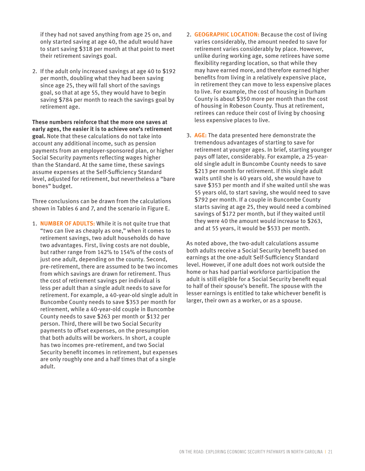if they had not saved anything from age 25 on, and only started saving at age 40, the adult would have to start saving \$318 per month at that point to meet their retirement savings goal.

2. If the adult only increased savings at age 40 to \$192 per month, doubling what they had been saving since age 25, they will fall short of the savings goal, so that at age 55, they would have to begin saving \$784 per month to reach the savings goal by retirement age.

**These numbers reinforce that the more one saves at early ages, the easier it is to achieve one's retirement goal.** Note that these calculations do not take into account any additional income, such as pension payments from an employer-sponsored plan, or higher Social Security payments reflecting wages higher than the Standard. At the same time, these savings assume expenses at the Self-Sufficiency Standard level, adjusted for retirement, but nevertheless a "bare bones" budget.

Three conclusions can be drawn from the calculations shown in Tables 6 and 7, and the scenario in Figure E.

1. **NUMBER OF ADULTS:** While it is not quite true that "two can live as cheaply as one," when it comes to retirement savings, two adult households do have two advantages. First, living costs are not double, but rather range from 142% to 154% of the costs of just one adult, depending on the county. Second, pre-retirement, there are assumed to be two incomes from which savings are drawn for retirement. Thus the cost of retirement savings per individual is less per adult than a single adult needs to save for retirement. For example, a 40-year-old single adult in Buncombe County needs to save \$353 per month for retirement, while a 40-year-old couple in Buncombe County needs to save \$263 per month or \$132 per person. Third, there will be two Social Security payments to offset expenses, on the presumption that both adults will be workers. In short, a couple has two incomes pre-retirement, and two Social Security benefit incomes in retirement, but expenses are only roughly one and a half times that of a single adult.

- 2. **GEOGRAPHIC LOCATION:** Because the cost of living varies considerably, the amount needed to save for retirement varies considerably by place. However, unlike during working age, some retirees have some flexibility regarding location, so that while they may have earned more, and therefore earned higher benefits from living in a relatively expensive place, in retirement they can move to less expensive places to live. For example, the cost of housing in Durham County is about \$350 more per month than the cost of housing in Robeson County. Thus at retirement, retirees can reduce their cost of living by choosing less expensive places to live.
- 3. **AGE:** The data presented here demonstrate the tremendous advantages of starting to save for retirement at younger ages. In brief, starting younger pays off later, considerably. For example, a 25-yearold single adult in Buncombe County needs to save \$213 per month for retirement. If this single adult waits until she is 40 years old, she would have to save \$353 per month and if she waited until she was 55 years old, to start saving, she would need to save \$792 per month. If a couple in Buncombe County starts saving at age 25, they would need a combined savings of \$172 per month, but if they waited until they were 40 the amount would increase to \$263, and at 55 years, it would be \$533 per month.

As noted above, the two-adult calculations assume both adults receive a Social Security benefit based on earnings at the one-adult Self-Sufficiency Standard level. However, if one adult does not work outside the home or has had partial workforce participation the adult is still eligible for a Social Security benefit equal to half of their spouse's benefit. The spouse with the lesser earnings is entitled to take whichever benefit is larger, their own as a worker, or as a spouse.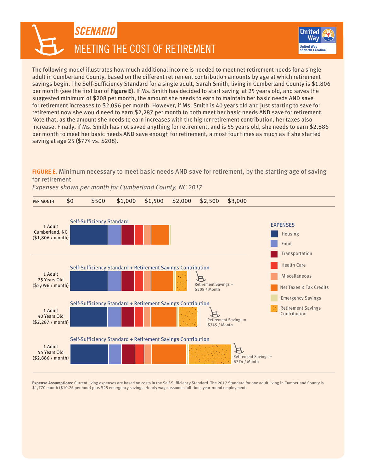# *SCENARIO*  MEETING THE COST OF RETIREMENT



The following model illustrates how much additional income is needed to meet net retirement needs for a single adult in Cumberland County, based on the different retirement contribution amounts by age at which retirement savings begin. The Self-Sufficiency Standard for a single adult, Sarah Smith, living in Cumberland County is \$1,806 per month (see the first bar of **[Figure E](#page-21-0)**). If Ms. Smith has decided to start saving at 25 years old, and saves the suggested minimum of \$208 per month, the amount she needs to earn to maintain her basic needs AND save for retirement increases to \$2,096 per month. However, if Ms. Smith is 40 years old and just starting to save for retirement now she would need to earn \$2,287 per month to both meet her basic needs AND save for retirement. Note that, as the amount she needs to earn increases with the higher retirement contribution, her taxes also increase. Finally, if Ms. Smith has not saved anything for retirement, and is 55 years old, she needs to earn \$2,886 per month to meet her basic needs AND save enough for retirement, almost four times as much as if she started saving at age 25 (\$774 vs. \$208).

<span id="page-21-0"></span>**Figure E.** Minimum necessary to meet basic needs AND save for retirement, by the starting age of saving for retirement

Expenses shown per month for Cumberland County, NC 2017



**Expense Assumptions:** Current living expenses are based on costs in the Self-Sufficiency Standard. The 2017 Standard for one adult living in Cumberland County is \$1,770 month (\$10.26 per hour) plus \$25 emergency savings. Hourly wage assumes full-time, year-round employment.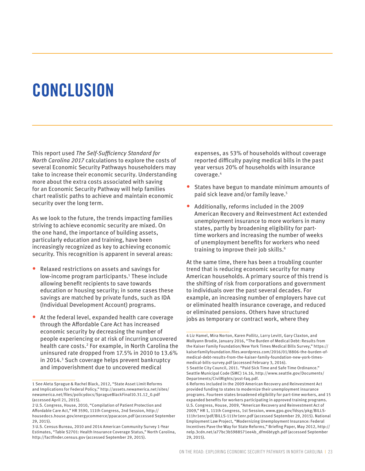# **CONCLUSION**

This report used The Self-Sufficiency Standard for North Carolina 2017 calculations to explore the costs of several Economic Security Pathways householders may take to increase their economic security. Understanding more about the extra costs associated with saving for an Economic Security Pathway will help families chart realistic paths to achieve and maintain economic security over the long term.

As we look to the future, the trends impacting families striving to achieve economic security are mixed. On the one hand, the importance of building assets, particularly education and training, have been increasingly recognized as key to achieving economic security. This recognition is apparent in several areas:

- Relaxed restrictions on assets and savings for low-income program participants.<sup>1</sup> These include allowing benefit recipients to save towards education or housing security; in some cases these savings are matched by private funds, such as IDA (Individual Development Account) programs.
- At the federal level, expanded health care coverage through the Affordable Care Act has increased economic security by decreasing the number of people experiencing or at risk of incurring uncovered health care costs.<sup>2</sup> For example, in North Carolina the uninsured rate dropped from 17.5% in 2010 to 13.6% in 2014.3 Such coverage helps prevent bankruptcy and impoverishment due to uncovered medical

expenses, as 53% of households without coverage reported difficulty paying medical bills in the past year versus 20% of households with insurance coverage.4

- States have begun to mandate minimum amounts of paid sick leave and/or family leave.<sup>5</sup>
- Additionally, reforms included in the 2009 American Recovery and Reinvestment Act extended unemployment insurance to more workers in many states, partly by broadening eligibility for parttime workers and increasing the number of weeks of unemployment benefits for workers who need training to improve their job skills.6

At the same time, there has been a troubling counter trend that is reducing economic security for many American households. A primary source of this trend is the shifting of risk from corporations and government to individuals over the past several decades. For example, an increasing number of employers have cut or eliminated health insurance coverage, and reduced or eliminated pensions. Others have structured jobs as temporary or contract work, where they

<sup>1</sup> See Aleta Sprague & Rachel Black, 2012, "State Asset Limit Reforms and Implications for Federal Policy," [http://assets.newamerica.net/sites/](http://assets.newamerica.net/sites/newamerica.net/files/policydocs/SpragueBlackFinal10.31.12_0.pdf) [newamerica.net/files/policydocs/SpragueBlackFinal10.31.12\\_0.pdf](http://assets.newamerica.net/sites/newamerica.net/files/policydocs/SpragueBlackFinal10.31.12_0.pdf)  (accessed April 21, 2015).

<sup>2</sup> U.S. Congress, House, 2010, "Compilation of Patient Protection and Affordable Care Act," HR 3590, 111th Congress, 2nd Session, [http://](http://housedocs.house.gov/energycommerce/ppacacon.pdf) [housedocs.house.gov/energycommerce/ppacacon.pdf \(ac](http://housedocs.house.gov/energycommerce/ppacacon.pdf)cessed September 29, 2015).

<sup>3</sup> U.S. Census Bureau, 2010 and 2014 American Community Survey 1-Year Estimates, "Table S2701: Health Insurance Coverage Status," North Carolina, [http://factfinder.census.gov \(a](http://factfinder.census.gov)ccessed September 29, 2015).

<sup>4</sup> Liz Hamel, Mira Norton, Karen Pollitz, Larry Levitt, Gary Claxton, and Mollyann Brodie, January 2016, "The Burden of Medical Debt: Results from the Kaiser Family Foundation/New York Times Medical Bills Survey," [https://](https://kaiserfamilyfoundation.files.wordpress.com/2016/01/8806-the-burden-of-medical-debt-results-from-the-kaiser-family-foundation-new-york-times-medical-bills-survey.pdf) [kaiserfamilyfoundation.files.wordpress.com/2016/01/8806-the-burden-of](https://kaiserfamilyfoundation.files.wordpress.com/2016/01/8806-the-burden-of-medical-debt-results-from-the-kaiser-family-foundation-new-york-times-medical-bills-survey.pdf)[medical-debt-results-from-the-kaiser-family-foundation-new-york-times](https://kaiserfamilyfoundation.files.wordpress.com/2016/01/8806-the-burden-of-medical-debt-results-from-the-kaiser-family-foundation-new-york-times-medical-bills-survey.pdf)[medical-bills-survey.pdf \(a](https://kaiserfamilyfoundation.files.wordpress.com/2016/01/8806-the-burden-of-medical-debt-results-from-the-kaiser-family-foundation-new-york-times-medical-bills-survey.pdf)ccessed February 3, 2016). 5 Seattle City Council, 2011. "Paid Sick Time and Safe Time Ordinance."

Seattle Municipal Code (SMC) 14.16, [http://www.seattle.gov/Documents/](http://www.seattle.gov/Documents/Departments/CivilRights/psst-faq.pdf) [Departments/CivilRights/psst-faq.pdf.](http://www.seattle.gov/Documents/Departments/CivilRights/psst-faq.pdf)

<sup>6</sup> Reforms included in the 2009 American Recovery and Reinvestment Act provided funding to states to modernize their unemployment insurance programs. Fourteen states broadened eligibility for part-time workers, and 15 expanded benefits for workers participating in approved training programs. U.S. Congress, House, 2009, "American Recovery and Reinvestment Act of 2009," HR 1, 111th Congress, 1st Session, [www.gpo.gov/fdsys/pkg/BILLS-](http://www.gpo.gov/fdsys/pkg/BILLS-111hr1enr/pdf/BILLS-111hr1enr.pdf)[111hr1enr/pdf/BILLS-111hr1enr.pdf \(a](http://www.gpo.gov/fdsys/pkg/BILLS-111hr1enr/pdf/BILLS-111hr1enr.pdf)ccessed September 29, 2015). National Employment Law Project, "Modernizing Unemployment Insurance: Federal Incentives Pave the Way for State Reforms," Briefing Paper, May 2012, [http://](http://nelp.3cdn.net/a77bc3b5988571ee4b_dfm6btygh.pdf) [nelp.3cdn.net/a77bc3b5988571ee4b\\_dfm6btygh.pdf \(a](http://nelp.3cdn.net/a77bc3b5988571ee4b_dfm6btygh.pdf)ccessed September 29, 2015).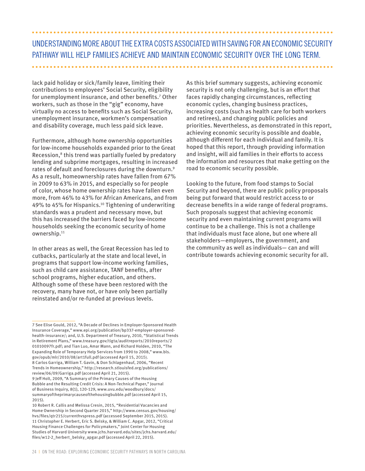UNDERSTANDING MORE ABOUT THE EXTRA COSTS ASSOCIATED WITH SAVING FOR AN ECONOMIC SECURITY PATHWAY WILL HELP FAMILIES ACHIEVE AND MAINTAIN ECONOMIC SECURITY OVER THE LONG TERM.

lack paid holiday or sick/family leave, limiting their contributions to employees' Social Security, eligibility for unemployment insurance, and other benefits.<sup>7</sup> Other workers, such as those in the "gig" economy, have virtually no access to benefits such as Social Security, unemployment insurance, workmen's compensation and disability coverage, much less paid sick leave.

Furthermore, although home ownership opportunities for low-income households expanded prior to the Great Recession,8 this trend was partially fueled by predatory lending and subprime mortgages, resulting in increased rates of default and foreclosures during the downturn.<sup>9</sup> As a result, homeownership rates have fallen from 67% in 2009 to 63% in 2015, and especially so for people of color, whose home ownership rates have fallen even more, from 46% to 43% for African Americans, and from 49% to 45% for Hispanics.<sup>10</sup> Tightening of underwriting standards was a prudent and necessary move, but this has increased the barriers faced by low-income households seeking the economic security of home ownership.<sup>11</sup>

In other areas as well, the Great Recession has led to cutbacks, particularly at the state and local level, in programs that support low-income working families, such as child care assistance, TANF benefits, after school programs, higher education, and others. Although some of these have been restored with the recovery, many have not, or have only been partially reinstated and/or re-funded at previous levels.

As this brief summary suggests, achieving economic security is not only challenging, but is an effort that faces rapidly changing circumstances, reflecting economic cycles, changing business practices, increasing costs (such as health care for both workers and retirees), and changing public policies and priorities. Nevertheless, as demonstrated in this report, achieving economic security is possible and doable, although different for each individual and family. It is hoped that this report, through providing information and insight, will aid families in their efforts to access the information and resources that make getting on the road to economic security possible.

Looking to the future, from food stamps to Social Security and beyond, there are public policy proposals being put forward that would restrict access to or decrease benefits in a wide range of federal programs. Such proposals suggest that achieving economic security and even maintaining current programs will continue to be a challenge. This is not a challenge that individuals must face alone, but one where all stakeholders—employers, the government, and the community as well as individuals— can and will contribute towards achieving economic security for all.

<sup>7</sup> See Elise Gould, 2012, "A Decade of Declines in Employer-Sponsored Health Insurance Coverage," [www.epi.org/publication/bp337-employer-sponsored](http://www.epi.org/publication/bp337-employer-sponsored-health-insurance/)[health-insurance/; an](http://www.epi.org/publication/bp337-employer-sponsored-health-insurance/)d, U.S. Department of Treasury, 2010, "Statistical Trends in Retirement Plans," [www.treasury.gov/tigta/auditreports/2010reports/2](http://www.treasury.gov/tigta/auditreports/2010reports/201010097fr.pdf) [01010097fr.pdf; and Tian Luo, Amar Mann, and Richard Holden, 2010, "The](http://www.treasury.gov/tigta/auditreports/2010reports/201010097fr.pdf)  Expanding Role of Temporary Help Services from 1990 to 2008," [www.bls.](http://www.bls.gov/opub/mlr/2010/08/art1full.pdf) [gov/opub/mlr/2010/08/art1full.pdf \(a](http://www.bls.gov/opub/mlr/2010/08/art1full.pdf)ccessed April 15, 2015). 8 Carlos Garriga, William T. Gavin, & Don Schlagenhauf, 2006, "Recent Trends in Homeownership," [http://research.stlouisfed.org/publications/](http://research.stlouisfed.org/publications/review/06/09/Garriga.pdf)

[review/06/09/Garriga.pdf \(a](http://research.stlouisfed.org/publications/review/06/09/Garriga.pdf)ccessed April 21, 2015).

<sup>9</sup> Jeff Holt, 2009, "A Summary of the Primary Causes of the Housing Bubble and the Resulting Credit Crisis: A Non-Technical Paper," Journal of Business Inquiry, 8(1), 120-129, [www.uvu.edu/woodbury/docs/](http://www.uvu.edu/woodbury/docs/summaryoftheprimarycauseofthehousingbubble.pdf) [summaryoftheprimarycauseofthehousingbubble.pdf \(a](http://www.uvu.edu/woodbury/docs/summaryoftheprimarycauseofthehousingbubble.pdf)ccessed April 15, 2015).

<sup>10</sup> Robert R. Callis and Melissa Cresin, 2015, "Residential Vacancies and Home Ownership in Second Quarter 2015," [http://www.census.gov/housing/](http://www.census.gov/housing/hvs/files/qtr215/currenthvspress.pdf) [hvs/files/qtr215/currenthvspress.pdf \(a](http://www.census.gov/housing/hvs/files/qtr215/currenthvspress.pdf)ccessed September 2015, 2015). 11 Christopher E. Herbert, Eric S. Belsky, & William C. Apgar, 2012, "Critical Housing Finance Challenges for Policymakers," Joint Center for Housing Studies of Harvard University [www.jchs.harvard.edu/sites/jchs.harvard.edu/](http://www.jchs.harvard.edu/sites/jchs.harvard.edu/files/w12-2_herbert_belsky_apgar.pdf) [files/w12-2\\_herbert\\_belsky\\_apgar.pdf \(a](http://www.jchs.harvard.edu/sites/jchs.harvard.edu/files/w12-2_herbert_belsky_apgar.pdf)ccessed April 22, 2015).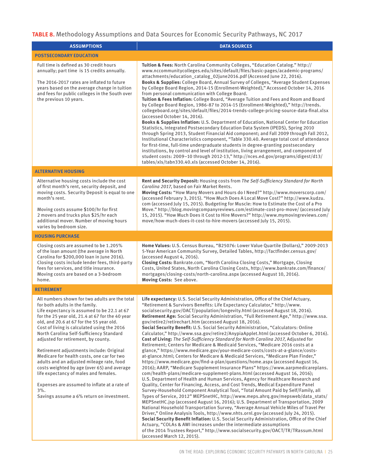## **Table 8.** Methodology Assumptions and Data Sources for Economic Security Pathways, NC 2017

| <b>ASSUMPTIONS</b>                                                                                                                                                                                                                                                                                                                                                                                                                                                                                                                                                                                                                                                                                     | <b>DATA SOURCES</b>                                                                                                                                                                                                                                                                                                                                                                                                                                                                                                                                                                                                                                                                                                                                                                                                                                                                                                                                                                                                                                                                                                                                                                                                                                                                                                                                                                                                                                                                                                                                                                                                                                                                                                                                                                                                                                                                                                                                                                                                                                                                                      |
|--------------------------------------------------------------------------------------------------------------------------------------------------------------------------------------------------------------------------------------------------------------------------------------------------------------------------------------------------------------------------------------------------------------------------------------------------------------------------------------------------------------------------------------------------------------------------------------------------------------------------------------------------------------------------------------------------------|----------------------------------------------------------------------------------------------------------------------------------------------------------------------------------------------------------------------------------------------------------------------------------------------------------------------------------------------------------------------------------------------------------------------------------------------------------------------------------------------------------------------------------------------------------------------------------------------------------------------------------------------------------------------------------------------------------------------------------------------------------------------------------------------------------------------------------------------------------------------------------------------------------------------------------------------------------------------------------------------------------------------------------------------------------------------------------------------------------------------------------------------------------------------------------------------------------------------------------------------------------------------------------------------------------------------------------------------------------------------------------------------------------------------------------------------------------------------------------------------------------------------------------------------------------------------------------------------------------------------------------------------------------------------------------------------------------------------------------------------------------------------------------------------------------------------------------------------------------------------------------------------------------------------------------------------------------------------------------------------------------------------------------------------------------------------------------------------------------|
| <b>POSTSECONDARY EDUCATION</b>                                                                                                                                                                                                                                                                                                                                                                                                                                                                                                                                                                                                                                                                         |                                                                                                                                                                                                                                                                                                                                                                                                                                                                                                                                                                                                                                                                                                                                                                                                                                                                                                                                                                                                                                                                                                                                                                                                                                                                                                                                                                                                                                                                                                                                                                                                                                                                                                                                                                                                                                                                                                                                                                                                                                                                                                          |
| Full time is defined as 30 credit hours<br>annually; part time is 15 credits annually.<br>The 2016-2017 rates are inflated to future<br>years based on the average change in tuition<br>and fees for public colleges in the South over<br>the previous 10 years.                                                                                                                                                                                                                                                                                                                                                                                                                                       | Tuition & Fees: North Carolina Community Colleges, "Education Catalog." http://<br>www.nccommunitycolleges.edu/sites/default/files/basic-pages/academic-programs/<br>attachments/education_catalog_02june2016.pdf (Accessed June 22, 2016).<br>Books & Supplies: College Board, Annual Survey of Colleges, "Average Student Expenses<br>by College Board Region, 2014-15 (Enrollment-Weighted)," Accessed October 14, 2016<br>from personal communication with College Board.<br>Tuition & Fees Inflation: College Board, "Average Tuition and Fees and Room and Board<br>by College Board Region, 1986-87 to 2014-15 (Enrollment-Weighted)," http://trends.<br>collegeboard.org/sites/default/files/2014-trends-college-pricing-source-data-final.xlsx<br>(accessed October 14, 2016).<br>Books & Supplies Inflation: U.S. Department of Education, National Center for Education<br>Statistics, Integrated Postsecondary Education Data System (IPEDS), Spring 2010<br>through Spring 2013, Student Financial Aid component; and Fall 2009 through Fall 2012,<br>Institutional Characteristics component, "Table 330.40. Average total cost of attendance<br>for first-time, full-time undergraduate students in degree-granting postsecondary<br>institutions, by control and level of institution, living arrangement, and component of<br>student costs: 2009-10 through 2012-13," http://nces.ed.gov/programs/digest/d13/<br>tables/xls/tabn330.40.xls (accessed October 14, 2016).                                                                                                                                                                                                                                                                                                                                                                                                                                                                                                                                                                                                                |
| <b>ALTERNATIVE HOUSING</b>                                                                                                                                                                                                                                                                                                                                                                                                                                                                                                                                                                                                                                                                             |                                                                                                                                                                                                                                                                                                                                                                                                                                                                                                                                                                                                                                                                                                                                                                                                                                                                                                                                                                                                                                                                                                                                                                                                                                                                                                                                                                                                                                                                                                                                                                                                                                                                                                                                                                                                                                                                                                                                                                                                                                                                                                          |
| Alternative housing costs include the cost<br>of first month's rent, security deposit, and<br>moving costs. Security Deposit is equal to one<br>month's rent.<br>Moving costs assume \$100/hr for first<br>2 movers and trucks plus \$25/hr each<br>additional mover. Number of moving hours<br>varies by bedroom size.                                                                                                                                                                                                                                                                                                                                                                                | Rent and Security Deposit: Housing costs from The Self-Sufficiency Standard for North<br>Carolina 2017, based on Fair Market Rents.<br>Moving Costs: "How Many Movers and Hours do I Need?" http://www.moverscorp.com/<br>(accessed February 3, 2015). "How Much Does A Local Move Cost?" http://www.kudzu.<br>com (accessed July 15, 2015). Budgeting for Muscle: How to Estimate the Cost of a Pro<br>Move." http://blog.movingcompanyreviews.com/estimate-cost-pro-move/ (accessed July<br>15, 2015). "How Much Does it Cost to Hire Movers?" http://www.mymovingreviews.com/<br>move/how-much-does-it-cost-to-hire-movers (accessed July 15, 2015).                                                                                                                                                                                                                                                                                                                                                                                                                                                                                                                                                                                                                                                                                                                                                                                                                                                                                                                                                                                                                                                                                                                                                                                                                                                                                                                                                                                                                                                  |
| <b>HOUSING PURCHASE</b>                                                                                                                                                                                                                                                                                                                                                                                                                                                                                                                                                                                                                                                                                |                                                                                                                                                                                                                                                                                                                                                                                                                                                                                                                                                                                                                                                                                                                                                                                                                                                                                                                                                                                                                                                                                                                                                                                                                                                                                                                                                                                                                                                                                                                                                                                                                                                                                                                                                                                                                                                                                                                                                                                                                                                                                                          |
| Closing costs are assumed to be 1.205%<br>of the loan amount (the average in North<br>Carolina for \$200,000 loan in June 2016).<br>Closing costs include lender fees, third-party<br>fees for services, and title insurance.<br>Moving costs are based on a 3-bedroom<br>home.                                                                                                                                                                                                                                                                                                                                                                                                                        | Home Values: U.S. Census Bureau, "B25076: Lower Value Quartile (Dollars)," 2009-2013<br>5-Year American Community Survey, Detailed Tables, http://factfinder.census.gov/<br>(accessed August 4, 2016).<br>Closing Costs: Bankrate.com, "North Carolina Closing Costs," Mortgage, Closing<br>Costs, United States, North Carolina Closing Costs, http://www.bankrate.com/finance/<br>mortgages/closing-costs/north-carolina.aspx (accessed August 10, 2016).<br>Moving Costs: See above.                                                                                                                                                                                                                                                                                                                                                                                                                                                                                                                                                                                                                                                                                                                                                                                                                                                                                                                                                                                                                                                                                                                                                                                                                                                                                                                                                                                                                                                                                                                                                                                                                  |
| <b>RETIREMENT</b>                                                                                                                                                                                                                                                                                                                                                                                                                                                                                                                                                                                                                                                                                      |                                                                                                                                                                                                                                                                                                                                                                                                                                                                                                                                                                                                                                                                                                                                                                                                                                                                                                                                                                                                                                                                                                                                                                                                                                                                                                                                                                                                                                                                                                                                                                                                                                                                                                                                                                                                                                                                                                                                                                                                                                                                                                          |
| All numbers shown for two adults are the total<br>for both adults in the family.<br>Life expectancy is assumed to be 22.1 at 67<br>for the 25 year old, 21.4 at 67 for the 40 year<br>old, and 20.6 at 67 for the 55 year old.<br>Cost of living is calculated using the 2016<br>North Carolina Self-Sufficiency Standard<br>adjusted for retirement, by county.<br>Retirement adjustments include: Original<br>Medicare for health costs, one car for two<br>adults and an adjusted mileage rate, food<br>costs weighted by age (over 65) and average<br>life expectancy of males and females.<br>Expenses are assumed to inflate at a rate of<br>$3%$ .<br>Savings assume a 6% return on investment. | Life expectancy: U.S. Social Security Administration, Office of the Chief Actuary,<br>"Retirement & Survivors Benefits: Life Expectancy Calculator," http://www.<br>socialsecurity.gov/OACT/population/longevity.html (accessed August 18, 2016).<br>Retirement Age: Social Security Administration, "Full Retirement Age," http://www.ssa.<br>gov/retire2/retirechart.htm (accessed August 18, 2016).<br>Social Security Benefit: U.S. Social Security Administration, "Calculators: Online<br>Calculator," http://www.ssa.gov/retire2/AnypiaApplet.html (accessed October 6, 2016).<br>Cost of Living: The Self-Sufficiency Standard for North Carolina 2017, Adjusted for<br>Retirement; Centers for Medicare & Medicaid Services, "Medicare 2016 costs at a<br>glance," https://www.medicare.gov/your-medicare-costs/costs-at-a-glance/costs-<br>at-glance.html; Centers for Medicare & Medicaid Services, "Medicare Plan Finder,"<br>https://www.medicare.gov/find-a-plan/questions/home.aspx (accessed August 16,<br>2016); AARP, "Medicare Supplement Insurance Plans" https://www.aarpmedicareplans.<br>com/health-plans/medicare-supplement-plans.html (accessed August 16, 2016);<br>U.S. Department of Health and Human Services, Agency for Healthcare Research and<br>Quality, Center for Financing, Access, and Cost Trends, Medical Expenditure Panel<br>Survey-Household Component Analytical Tool, "Total Amount Paid by Self/Family, all<br>Types of Service, 2012" MEPSnetHC, http://www.meps.ahrq.gov/mepsweb/data_stats/<br>MEPSnetHC.jsp (accessed August 16, 2016); U.S. Department of Transportation, 2009<br>National Household Transportation Survey, "Average Annual Vehicle Miles of Travel Per<br>Driver," Online Analysis Tools, http://www.nhts.ornl.gov (accessed July 24, 2015).<br>Social Security Benefit Inflation: U.S. Social Security Administration, Office of the Chief<br>Actuary, "COLAs & AWI increases under the intermediate assumptions<br>of the 2014 Trustees Report," http://www.socialsecurity.gov/OACT/TR/TRassum.html<br>(accessed March 12, 2015). |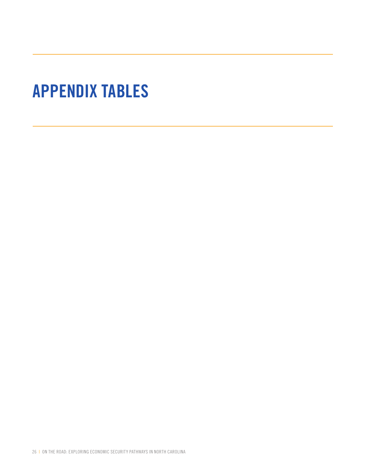# APPENDIX TABLES

26 | ON THE ROAD: EXPLORING ECONOMIC SECURITY PATHWAYS IN NORTH CAROLINA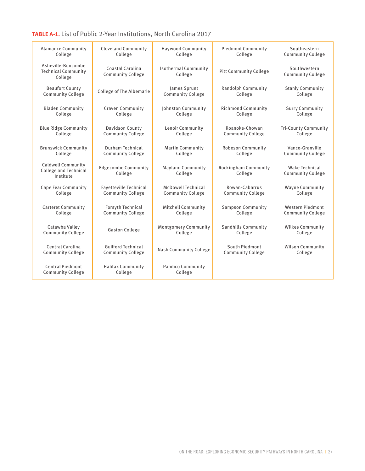## **Table A-1.** List of Public 2-Year Institutions, North Carolina 2017

| <b>Alamance Community</b>                                       | <b>Cleveland Community</b>                   | <b>Haywood Community</b>               | <b>Piedmont Community</b>       | Southeastern                               |
|-----------------------------------------------------------------|----------------------------------------------|----------------------------------------|---------------------------------|--------------------------------------------|
| College                                                         | College                                      | College                                | College                         | <b>Community College</b>                   |
| Asheville-Buncombe<br><b>Technical Community</b><br>College     | Coastal Carolina<br><b>Community College</b> | <b>Isothermal Community</b><br>College | <b>Pitt Community College</b>   | Southwestern<br><b>Community College</b>   |
| <b>Beaufort County</b>                                          | <b>College of The Albemarle</b>              | James Sprunt                           | <b>Randolph Community</b>       | <b>Stanly Community</b>                    |
| <b>Community College</b>                                        |                                              | <b>Community College</b>               | College                         | College                                    |
| <b>Bladen Community</b>                                         | Craven Community                             | Johnston Community                     | Richmond Community              | <b>Surry Community</b>                     |
| College                                                         | College                                      | College                                | College                         | College                                    |
| <b>Blue Ridge Community</b>                                     | Davidson County                              | Lenoir Community                       | Roanoke-Chowan                  | <b>Tri-County Community</b>                |
| College                                                         | <b>Community College</b>                     | College                                | <b>Community College</b>        | College                                    |
| <b>Brunswick Community</b>                                      | Durham Technical                             | <b>Martin Community</b>                | Robeson Community               | Vance-Granville                            |
| College                                                         | <b>Community College</b>                     | College                                | College                         | <b>Community College</b>                   |
| Caldwell Community<br><b>College and Technical</b><br>Institute | <b>Edgecombe Community</b><br>College        | <b>Mayland Community</b><br>College    | Rockingham Community<br>College | Wake Technical<br><b>Community College</b> |
| Cape Fear Community                                             | <b>Fayetteville Technical</b>                | <b>McDowell Technical</b>              | Rowan-Cabarrus                  | <b>Wayne Community</b>                     |
| College                                                         | <b>Community College</b>                     | <b>Community College</b>               | <b>Community College</b>        | College                                    |
| <b>Carteret Community</b>                                       | Forsyth Technical                            | Mitchell Community                     | Sampson Community               | <b>Western Piedmont</b>                    |
| College                                                         | <b>Community College</b>                     | College                                | College                         | <b>Community College</b>                   |
| Catawba Valley                                                  | <b>Gaston College</b>                        | <b>Montgomery Community</b>            | Sandhills Community             | <b>Wilkes Community</b>                    |
| <b>Community College</b>                                        |                                              | College                                | College                         | College                                    |
| Central Carolina                                                | <b>Guilford Technical</b>                    | <b>Nash Community College</b>          | South Piedmont                  | Wilson Community                           |
| <b>Community College</b>                                        | <b>Community College</b>                     |                                        | <b>Community College</b>        | College                                    |
| <b>Central Piedmont</b><br><b>Community College</b>             | <b>Halifax Community</b><br>College          | <b>Pamlico Community</b><br>College    |                                 |                                            |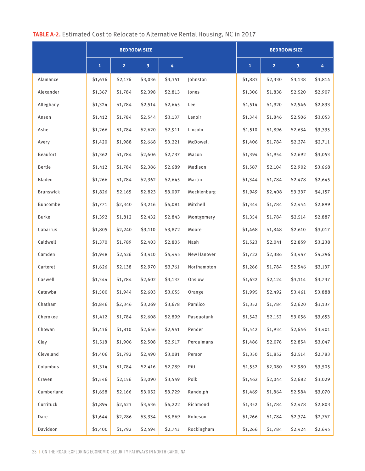### **Table A-2.** Estimated Cost to Relocate to Alternative Rental Housing, NC in 2017

|                  |              |                | <b>BEDROOM SIZE</b> |         |             | <b>BEDROOM SIZE</b> |                |         |         |
|------------------|--------------|----------------|---------------------|---------|-------------|---------------------|----------------|---------|---------|
|                  | $\mathbf{1}$ | $\overline{2}$ | 3                   | 4       |             | $\mathbf{1}$        | $\overline{2}$ | 3       | 4       |
| Alamance         | \$1,636      | \$2,176        | \$3,036             | \$3,351 | Johnston    | \$1,883             | \$2,330        | \$3,138 | \$3,814 |
| Alexander        | \$1,367      | \$1,784        | \$2,398             | \$2,813 | Jones       | \$1,306             | \$1,838        | \$2,520 | \$2,907 |
| Alleghany        | \$1,324      | \$1,784        | \$2,514             | \$2,645 | Lee         | \$1,514             | \$1,920        | \$2,546 | \$2,833 |
| Anson            | \$1,412      | \$1,784        | \$2,544             | \$3,137 | Lenoir      | \$1,344             | \$1,846        | \$2,506 | \$3,053 |
| Ashe             | \$1,266      | \$1,784        | \$2,620             | \$2,911 | Lincoln     | \$1,510             | \$1,896        | \$2,634 | \$3,335 |
| Avery            | \$1,420      | \$1,988        | \$2,668             | \$3,221 | McDowell    | \$1,406             | \$1,784        | \$2,374 | \$2,711 |
| <b>Beaufort</b>  | \$1,362      | \$1,784        | \$2,606             | \$2,737 | Macon       | \$1,394             | \$1,954        | \$2,692 | \$3,053 |
| <b>Bertie</b>    | \$1,412      | \$1,784        | \$2,386             | \$2,689 | Madison     | \$1,587             | \$2,104        | \$2,902 | \$3,668 |
| Bladen           | \$1,266      | \$1,784        | \$2,362             | \$2,645 | Martin      | \$1,344             | \$1,784        | \$2,478 | \$2,645 |
| <b>Brunswick</b> | \$1,826      | \$2,165        | \$2,823             | \$3,097 | Mecklenburg | \$1,949             | \$2,408        | \$3,337 | \$4,157 |
| Buncombe         | \$1,771      | \$2,340        | \$3,216             | \$4,081 | Mitchell    | \$1,344             | \$1,784        | \$2,454 | \$2,899 |
| <b>Burke</b>     | \$1,392      | \$1,812        | \$2,432             | \$2,843 | Montgomery  | \$1,354             | \$1,784        | \$2,514 | \$2,887 |
| Cabarrus         | \$1,805      | \$2,240        | \$3,110             | \$3,872 | Moore       | \$1,468             | \$1,848        | \$2,610 | \$3,017 |
| Caldwell         | \$1,370      | \$1,789        | \$2,403             | \$2,805 | Nash        | \$1,523             | \$2,041        | \$2,859 | \$3,238 |
| Camden           | \$1,948      | \$2,526        | \$3,410             | \$4,445 | New Hanover | \$1,722             | \$2,386        | \$3,447 | \$4,296 |
| Carteret         | \$1,626      | \$2,138        | \$2,970             | \$3,761 | Northampton | \$1,266             | \$1,784        | \$2,546 | \$3,137 |
| Caswell          | \$1,344      | \$1,784        | \$2,602             | \$3,137 | Onslow      | \$1,632             | \$2,124        | \$3,114 | \$3,737 |
| Catawba          | \$1,500      | \$1,944        | \$2,603             | \$3,055 | Orange      | \$1,995             | \$2,492        | \$3,461 | \$3,888 |
| Chatham          | \$1,846      | \$2,346        | \$3,269             | \$3,678 | Pamlico     | \$1,352             | \$1,784        | \$2,620 | \$3,137 |
| Cherokee         | \$1,412      | \$1,784        | \$2,608             | \$2,899 | Pasquotank  | \$1,542             | \$2,152        | \$3,056 | \$3,653 |
| Chowan           | \$1,436      | \$1,810        | \$2,656             | \$2,941 | Pender      | \$1,542             | \$1,934        | \$2,646 | \$3,401 |
| Clay             | \$1,518      | \$1,906        | \$2,508             | \$2,917 | Perquimans  | \$1,486             | \$2,076        | \$2,854 | \$3,047 |
| Cleveland        | \$1,406      | \$1,792        | \$2,490             | \$3,081 | Person      | \$1,350             | \$1,852        | \$2,514 | \$2,783 |
| Columbus         | \$1,314      | \$1,784        | \$2,416             | \$2,789 | Pitt        | \$1,552             | \$2,080        | \$2,980 | \$3,505 |
| Craven           | \$1,546      | \$2,156        | \$3,090             | \$3,549 | Polk        | \$1,462             | \$2,044        | \$2,682 | \$3,029 |
| Cumberland       | \$1,658      | \$2,166        | \$3,052             | \$3,729 | Randolph    | \$1,469             | \$1,864        | \$2,584 | \$3,070 |
| Currituck        | \$1,894      | \$2,423        | \$3,436             | \$4,222 | Richmond    | \$1,352             | \$1,784        | \$2,478 | \$2,803 |
| Dare             | \$1,644      | \$2,286        | \$3,334             | \$3,869 | Robeson     | \$1,266             | \$1,784        | \$2,374 | \$2,767 |
| Davidson         | \$1,400      | \$1,792        | \$2,594             | \$2,743 | Rockingham  | \$1,266             | \$1,784        | \$2,424 | \$2,645 |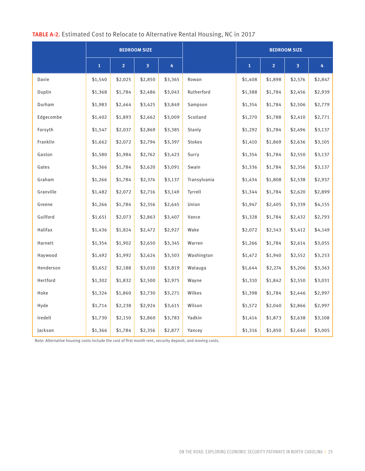### **Table A-2.** Estimated Cost to Relocate to Alternative Rental Housing, NC in 2017

<span id="page-28-0"></span>

|           | <b>BEDROOM SIZE</b> |                |         |         |               |              |                |         | <b>BEDROOM SIZE</b> |  |
|-----------|---------------------|----------------|---------|---------|---------------|--------------|----------------|---------|---------------------|--|
|           | $\mathbf{1}$        | $\overline{2}$ | 3       | 4       |               | $\mathbf{1}$ | $\overline{2}$ | 3       | 4                   |  |
| Davie     | \$1,540             | \$2,025        | \$2,850 | \$3,365 | Rowan         | \$1,408      | \$1,898        | \$2,576 | \$2,847             |  |
| Duplin    | \$1,368             | \$1,784        | \$2,486 | \$3,043 | Rutherford    | \$1,388      | \$1,784        | \$2,456 | \$2,939             |  |
| Durham    | \$1,983             | \$2,464        | \$3,425 | \$3,849 | Sampson       | \$1,354      | \$1,784        | \$2,506 | \$2,779             |  |
| Edgecombe | \$1,402             | \$1,893        | \$2,662 | \$3,009 | Scotland      | \$1,270      | \$1,788        | \$2,410 | \$2,771             |  |
| Forsyth   | \$1,547             | \$2,037        | \$2,869 | \$3,385 | Stanly        | \$1,292      | \$1,784        | \$2,496 | \$3,137             |  |
| Franklin  | \$1,662             | \$2,072        | \$2,794 | \$3,397 | <b>Stokes</b> | \$1,410      | \$1,869        | \$2,636 | \$3,105             |  |
| Gaston    | \$1,580             | \$1,984        | \$2,762 | \$3,423 | Surry         | \$1,354      | \$1,784        | \$2,550 | \$3,137             |  |
| Gates     | \$1,366             | \$1,784        | \$2,620 | \$3,091 | Swain         | \$1,336      | \$1,784        | \$2,356 | \$3,137             |  |
| Graham    | \$1,266             | \$1,784        | \$2,374 | \$3,137 | Transylvania  | \$1,434      | \$1,808        | \$2,538 | \$2,937             |  |
| Granville | \$1,482             | \$2,072        | \$2,716 | \$3,149 | Tyrrell       | \$1,344      | \$1,784        | \$2,620 | \$2,899             |  |
| Greene    | \$1,266             | \$1,784        | \$2,356 | \$2,645 | Union         | \$1,947      | \$2,405        | \$3,339 | \$4,155             |  |
| Guilford  | \$1,651             | \$2,073        | \$2,863 | \$3,407 | Vance         | \$1,328      | \$1,784        | \$2,432 | \$2,793             |  |
| Halifax   | \$1,436             | \$1,824        | \$2,472 | \$2,927 | Wake          | \$2,072      | \$2,543        | \$3,412 | \$4,149             |  |
| Harnett   | \$1,354             | \$1,902        | \$2,650 | \$3,345 | Warren        | \$1,266      | \$1,784        | \$2,614 | \$3,055             |  |
| Haywood   | \$1,492             | \$1,992        | \$2,624 | \$3,503 | Washington    | \$1,472      | \$1,940        | \$2,552 | \$3,253             |  |
| Henderson | \$1,652             | \$2,188        | \$3,010 | \$3,819 | Watauga       | \$1,644      | \$2,274        | \$3,206 | \$3,363             |  |
| Hertford  | \$1,302             | \$1,832        | \$2,500 | \$2,975 | Wayne         | \$1,310      | \$1,842        | \$2,550 | \$3,031             |  |
| Hoke      | \$1,324             | \$1,860        | \$2,730 | \$3,271 | Wilkes        | \$1,398      | \$1,784        | \$2,446 | \$2,997             |  |
| Hyde      | \$1,714             | \$2,238        | \$2,924 | \$3,615 | Wilson        | \$1,572      | \$2,040        | \$2,866 | \$2,997             |  |
| Iredell   | \$1,730             | \$2,150        | \$2,860 | \$3,783 | Yadkin        | \$1,414      | \$1,873        | \$2,638 | \$3,108             |  |
| Jackson   | \$1,366             | \$1,784        | \$2,356 | \$2,877 | Yancey        | \$1,316      | \$1,850        | \$2,640 | \$3,005             |  |

Note: Alternative housing costs include the cost of first month rent, security deposit, and moving costs.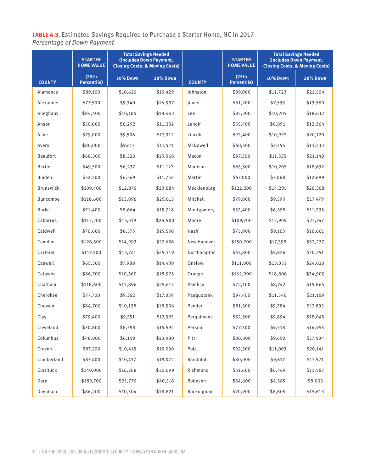#### **Table A-3.** Estimated Savings Required to Purchase a Starter Home, NC in 2017 Percentage of Down Payment

|                  | <b>STARTER</b><br><b>HOME VALUE</b> | <b>Total Savings Needed</b><br>(Includes Down Payment,<br><b>Closing Costs, &amp; Moving Costs)</b> |          |               | <b>STARTER</b><br><b>HOME VALUE</b> | <b>Total Savings Needed</b><br>(Includes Down Payment,<br><b>Closing Costs, &amp; Moving Costs)</b> |          |  |
|------------------|-------------------------------------|-----------------------------------------------------------------------------------------------------|----------|---------------|-------------------------------------|-----------------------------------------------------------------------------------------------------|----------|--|
| <b>COUNTY</b>    | (25th)<br><b>Percentile)</b>        | 10% Down                                                                                            | 20% Down | <b>COUNTY</b> | (25th)<br><b>Percentile)</b>        | <b>10% Down</b>                                                                                     | 20% Down |  |
| Alamance         | \$89,100                            | \$10,626                                                                                            | \$19,429 | Johnston      | \$99,000                            | \$11,723                                                                                            | \$21,504 |  |
| Alexander        | \$77,500                            | \$9,340                                                                                             | \$16,997 | Jones         | \$61,200                            | \$7,533                                                                                             | \$13,580 |  |
| Alleghany        | \$84,400                            | \$10,105                                                                                            | \$18,443 | Lee           | \$85,300                            | \$10,205                                                                                            | \$18,632 |  |
| Anson            | \$50,000                            | \$6,292                                                                                             | \$11,232 | Lenoir        | \$55,400                            | \$6,891                                                                                             | \$12,364 |  |
| Ashe             | \$79,000                            | \$9,506                                                                                             | \$17,311 | Lincoln       | \$92,400                            | \$10,992                                                                                            | \$20,120 |  |
| Avery            | \$80,000                            | \$9,617                                                                                             | \$17,521 | McDowell      | \$60,500                            | \$7,456                                                                                             | \$13,433 |  |
| <b>Beaufort</b>  | \$68,300                            | \$8,320                                                                                             | \$15,068 | Macon         | \$97,300                            | \$11,535                                                                                            | \$21,148 |  |
| <b>Bertie</b>    | \$49,500                            | \$6,237                                                                                             | \$11,127 | Madison       | \$85,300                            | \$10,205                                                                                            | \$18,632 |  |
| Bladen           | \$52,500                            | \$6,569                                                                                             | \$11,756 | Martin        | \$57,000                            | \$7,068                                                                                             | \$12,699 |  |
| <b>Brunswick</b> | \$109,400                           | \$12,876                                                                                            | \$23,684 | Mecklenburg   | \$122,200                           | \$14,295                                                                                            | \$26,368 |  |
| <b>Buncombe</b>  | \$118,600                           | \$13,896                                                                                            | \$25,613 | Mitchell      | \$79,800                            | \$9,595                                                                                             | \$17,479 |  |
| <b>Burke</b>     | \$71,400                            | \$8,664                                                                                             | \$15,718 | Montgomery    | \$52,400                            | \$6,558                                                                                             | \$11,735 |  |
| Cabarrus         | \$115,200                           | \$13,519                                                                                            | \$24,900 | Moore         | \$109,700                           | \$12,909                                                                                            | \$23,747 |  |
| Caldwell         | \$70,600                            | \$8,575                                                                                             | \$15,550 | Nash          | \$75,900                            | \$9,163                                                                                             | \$16,661 |  |
| Camden           | \$128,500                           | \$14,993                                                                                            | \$27,688 | New Hanover   | \$150,200                           | \$17,398                                                                                            | \$32,237 |  |
| Carteret         | \$117,200                           | \$13,741                                                                                            | \$25,319 | Northampton   | \$45,800                            | \$5,826                                                                                             | \$10,351 |  |
| Caswell          | \$65,300                            | \$7,988                                                                                             | \$14,439 | Onslow        | \$111,000                           | \$13,053                                                                                            | \$24,020 |  |
| Catawba          | \$86,700                            | \$10,360                                                                                            | \$18,925 | Orange        | \$162,900                           | \$18,806                                                                                            | \$34,900 |  |
| Chatham          | \$118,600                           | \$13,896                                                                                            | \$25,613 | Pamlico       | \$72,100                            | \$8,742                                                                                             | \$15,865 |  |
| Cherokee         | \$77,700                            | \$9,362                                                                                             | \$17,039 | Pasquotank    | \$97,400                            | \$11,546                                                                                            | \$21,169 |  |
| Chowan           | \$84,700                            | \$10,138                                                                                            | \$18,506 | Pender        | \$81,500                            | \$9,784                                                                                             | \$17,835 |  |
| Clay             | \$79,400                            | \$9,551                                                                                             | \$17,395 | Perquimans    | \$82,500                            | \$9,894                                                                                             | \$18,045 |  |
| Cleveland        | \$70,800                            | \$8,598                                                                                             | \$15,592 | Person        | \$77,300                            | \$9,318                                                                                             | \$16,955 |  |
| Columbus         | \$48,800                            | \$6,159                                                                                             | \$10,980 | Pitt          | \$80,300                            | \$9,650                                                                                             | \$17,584 |  |
| Craven           | \$87,200                            | \$10,415                                                                                            | \$19,030 | Polk          | \$92,500                            | \$11,003                                                                                            | \$20,141 |  |
| Cumberland       | \$87,400                            | \$10,437                                                                                            | \$19,072 | Randolph      | \$80,000                            | \$9,617                                                                                             | \$17,521 |  |
| Currituck        | \$140,000                           | \$16,268                                                                                            | \$30,099 | Richmond      | \$51,600                            | \$6,469                                                                                             | \$11,567 |  |
| Dare             | \$189,700                           | \$21,776                                                                                            | \$40,518 | Robeson       | \$34,600                            | \$4,585                                                                                             | \$8,003  |  |
| Davidson         | \$86,200                            | \$10,304                                                                                            | \$18,821 | Rockingham    | \$70,900                            | \$8,609                                                                                             | \$15,613 |  |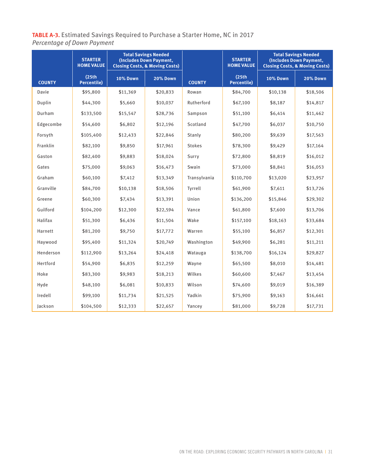#### <span id="page-30-0"></span>**Table A-3.** Estimated Savings Required to Purchase a Starter Home, NC in 2017 Percentage of Down Payment

|               | <b>STARTER</b><br><b>HOME VALUE</b> | <b>Total Savings Needed</b><br>(Includes Down Payment,<br><b>Closing Costs, &amp; Moving Costs)</b> |          |               | <b>STARTER</b><br><b>HOME VALUE</b> | <b>Total Savings Needed</b><br>(Includes Down Payment,<br><b>Closing Costs, &amp; Moving Costs)</b> |          |
|---------------|-------------------------------------|-----------------------------------------------------------------------------------------------------|----------|---------------|-------------------------------------|-----------------------------------------------------------------------------------------------------|----------|
| <b>COUNTY</b> | (25th)<br><b>Percentile)</b>        | <b>10% Down</b>                                                                                     | 20% Down | <b>COUNTY</b> | (25th)<br><b>Percentile)</b>        | <b>10% Down</b>                                                                                     | 20% Down |
| Davie         | \$95,800                            | \$11,369                                                                                            | \$20,833 | Rowan         | \$84,700                            | \$10,138                                                                                            | \$18,506 |
| Duplin        | \$44,300                            | \$5,660                                                                                             | \$10,037 | Rutherford    | \$67,100                            | \$8,187                                                                                             | \$14,817 |
| Durham        | \$133,500                           | \$15,547                                                                                            | \$28,736 | Sampson       | \$51,100                            | \$6,414                                                                                             | \$11,462 |
| Edgecombe     | \$54,600                            | \$6,802                                                                                             | \$12,196 | Scotland      | \$47,700                            | \$6,037                                                                                             | \$10,750 |
| Forsyth       | \$105,400                           | \$12,433                                                                                            | \$22,846 | Stanly        | \$80,200                            | \$9,639                                                                                             | \$17,563 |
| Franklin      | \$82,100                            | \$9,850                                                                                             | \$17,961 | <b>Stokes</b> | \$78,300                            | \$9,429                                                                                             | \$17,164 |
| Gaston        | \$82,400                            | \$9,883                                                                                             | \$18,024 | Surry         | \$72,800                            | \$8,819                                                                                             | \$16,012 |
| Gates         | \$75,000                            | \$9,063                                                                                             | \$16,473 | Swain         | \$73,000                            | \$8,841                                                                                             | \$16,053 |
| Graham        | \$60,100                            | \$7,412                                                                                             | \$13,349 | Transylvania  | \$110,700                           | \$13,020                                                                                            | \$23,957 |
| Granville     | \$84,700                            | \$10,138                                                                                            | \$18,506 | Tyrrell       | \$61,900                            | \$7,611                                                                                             | \$13,726 |
| Greene        | \$60,300                            | \$7,434                                                                                             | \$13,391 | Union         | \$136,200                           | \$15,846                                                                                            | \$29,302 |
| Guilford      | \$104,200                           | \$12,300                                                                                            | \$22,594 | Vance         | \$61,800                            | \$7,600                                                                                             | \$13,706 |
| Halifax       | \$51,300                            | \$6,436                                                                                             | \$11,504 | Wake          | \$157,100                           | \$18,163                                                                                            | \$33,684 |
| Harnett       | \$81,200                            | \$9,750                                                                                             | \$17,772 | Warren        | \$55,100                            | \$6,857                                                                                             | \$12,301 |
| Haywood       | \$95,400                            | \$11,324                                                                                            | \$20,749 | Washington    | \$49,900                            | \$6,281                                                                                             | \$11,211 |
| Henderson     | \$112,900                           | \$13,264                                                                                            | \$24,418 | Watauga       | \$138,700                           | \$16,124                                                                                            | \$29,827 |
| Hertford      | \$54,900                            | \$6,835                                                                                             | \$12,259 | Wayne         | \$65,500                            | \$8,010                                                                                             | \$14,481 |
| Hoke          | \$83,300                            | \$9,983                                                                                             | \$18,213 | Wilkes        | \$60,600                            | \$7,467                                                                                             | \$13,454 |
| Hyde          | \$48,100                            | \$6,081                                                                                             | \$10,833 | Wilson        | \$74,600                            | \$9,019                                                                                             | \$16,389 |
| Iredell       | \$99,100                            | \$11,734                                                                                            | \$21,525 | Yadkin        | \$75,900                            | \$9,163                                                                                             | \$16,661 |
| Jackson       | \$104,500                           | \$12,333                                                                                            | \$22,657 | Yancey        | \$81,000                            | \$9,728                                                                                             | \$17,731 |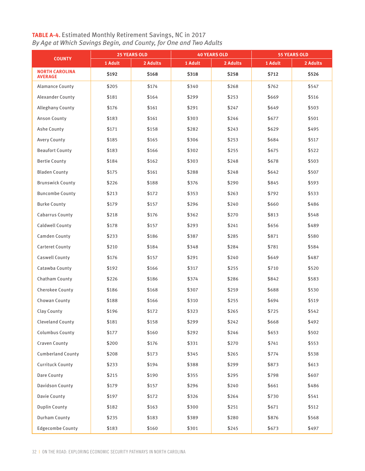## **Table A-4.** Estimated Monthly Retirement Savings, NC in 2017

|                                         |         | <b>25 YEARS OLD</b> |         | <b>40 YEARS OLD</b> | <b>55 YEARS OLD</b> |          |
|-----------------------------------------|---------|---------------------|---------|---------------------|---------------------|----------|
| <b>COUNTY</b>                           | 1 Adult | 2 Adults            | 1 Adult | 2 Adults            | 1 Adult             | 2 Adults |
| <b>NORTH CAROLINA</b><br><b>AVERAGE</b> | \$192   | \$168               | \$318   | \$258               | \$712               | \$526    |
| <b>Alamance County</b>                  | \$205   | \$174               | \$340   | \$268               | \$762               | \$547    |
| <b>Alexander County</b>                 | \$181   | \$164               | \$299   | \$253               | \$669               | \$516    |
| <b>Alleghany County</b>                 | \$176   | \$161               | \$291   | \$247               | \$649               | \$503    |
| Anson County                            | \$183   | \$161               | \$303   | \$246               | \$677               | \$501    |
| Ashe County                             | \$171   | \$158               | \$282   | \$243               | \$629               | \$495    |
| Avery County                            | \$185   | \$165               | \$306   | \$253               | \$684               | \$517    |
| <b>Beaufort County</b>                  | \$183   | \$166               | \$302   | \$255               | \$675               | \$522    |
| <b>Bertie County</b>                    | \$184   | \$162               | \$303   | \$248               | \$678               | \$503    |
| <b>Bladen County</b>                    | \$175   | \$161               | \$288   | \$248               | \$642               | \$507    |
| <b>Brunswick County</b>                 | \$226   | \$188               | \$376   | \$290               | \$845               | \$593    |
| <b>Buncombe County</b>                  | \$213   | \$172               | \$353   | \$263               | \$792               | \$533    |
| <b>Burke County</b>                     | \$179   | \$157               | \$296   | \$240               | \$660               | \$486    |
| Cabarrus County                         | \$218   | \$176               | \$362   | \$270               | \$813               | \$548    |
| Caldwell County                         | \$178   | \$157               | \$293   | \$241               | \$656               | \$489    |
| Camden County                           | \$233   | \$186               | \$387   | \$285               | \$871               | \$580    |
| <b>Carteret County</b>                  | \$210   | \$184               | \$348   | \$284               | \$781               | \$584    |
| Caswell County                          | \$176   | \$157               | \$291   | \$240               | \$649               | \$487    |
| Catawba County                          | \$192   | \$166               | \$317   | \$255               | \$710               | \$520    |
| Chatham County                          | \$226   | \$186               | \$374   | \$286               | \$842               | \$583    |
| Cherokee County                         | \$186   | \$168               | \$307   | \$259               | \$688               | \$530    |
| Chowan County                           | \$188   | \$166               | \$310   | \$255               | \$694               | \$519    |
| Clay County                             | \$196   | \$172               | \$323   | \$265               | \$725               | \$542    |
| <b>Cleveland County</b>                 | \$181   | \$158               | \$299   | \$242               | \$668               | \$492    |
| Columbus County                         | \$177   | \$160               | \$292   | \$246               | \$653               | \$502    |
| Craven County                           | \$200   | \$176               | \$331   | \$270               | \$741               | \$553    |
| <b>Cumberland County</b>                | \$208   | \$173               | \$345   | \$265               | \$774               | \$538    |
| Currituck County                        | \$233   | \$194               | \$388   | \$299               | \$873               | \$613    |
| Dare County                             | \$215   | \$190               | \$355   | \$295               | \$798               | \$607    |
| Davidson County                         | \$179   | \$157               | \$296   | \$240               | \$661               | \$486    |
| Davie County                            | \$197   | \$172               | \$326   | \$264               | \$730               | \$541    |
| Duplin County                           | \$182   | \$163               | \$300   | \$251               | \$671               | \$512    |
| Durham County                           | \$235   | \$183               | \$389   | \$280               | \$876               | \$568    |

Edgecombe County 63183 \$160 \$301 \$245 \$673 \$497

By Age at Which Savings Begin, and County, for One and Two Adults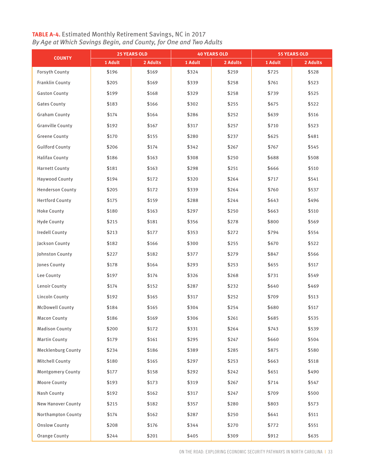#### **Table A-4.** Estimated Monthly Retirement Savings, NC in 2017 By Age at Which Savings Begin, and County, for One and Two Adults

|                           | <b>25 YEARS OLD</b> |          | <b>40 YEARS OLD</b> |          | <b>55 YEARS OLD</b> |          |
|---------------------------|---------------------|----------|---------------------|----------|---------------------|----------|
| <b>COUNTY</b>             | 1 Adult             | 2 Adults | 1 Adult             | 2 Adults | 1 Adult             | 2 Adults |
| Forsyth County            | \$196               | \$169    | \$324               | \$259    | \$725               | \$528    |
| Franklin County           | \$205               | \$169    | \$339               | \$258    | \$761               | \$523    |
| <b>Gaston County</b>      | \$199               | \$168    | \$329               | \$258    | \$739               | \$525    |
| Gates County              | \$183               | \$166    | \$302               | \$255    | \$675               | \$522    |
| <b>Graham County</b>      | \$174               | \$164    | \$286               | \$252    | \$639               | \$516    |
| <b>Granville County</b>   | \$192               | \$167    | \$317               | \$257    | \$710               | \$523    |
| <b>Greene County</b>      | \$170               | \$155    | \$280               | \$237    | \$625               | \$481    |
| <b>Guilford County</b>    | \$206               | \$174    | \$342               | \$267    | \$767               | \$545    |
| <b>Halifax County</b>     | \$186               | \$163    | \$308               | \$250    | \$688               | \$508    |
| <b>Harnett County</b>     | \$181               | \$163    | \$298               | \$251    | \$666               | \$510    |
| Haywood County            | \$194               | \$172    | \$320               | \$264    | \$717               | \$541    |
| <b>Henderson County</b>   | \$205               | \$172    | \$339               | \$264    | \$760               | \$537    |
| <b>Hertford County</b>    | \$175               | \$159    | \$288               | \$244    | \$643               | \$496    |
| <b>Hoke County</b>        | \$180               | \$163    | \$297               | \$250    | \$663               | \$510    |
| <b>Hyde County</b>        | \$215               | \$181    | \$356               | \$278    | \$800               | \$569    |
| <b>Iredell County</b>     | \$213               | \$177    | \$353               | \$272    | \$794               | \$554    |
| Jackson County            | \$182               | \$166    | \$300               | \$255    | \$670               | \$522    |
| Johnston County           | \$227               | \$182    | \$377               | \$279    | \$847               | \$566    |
| Jones County              | \$178               | \$164    | \$293               | \$253    | \$655               | \$517    |
| Lee County                | \$197               | \$174    | \$326               | \$268    | \$731               | \$549    |
| Lenoir County             | \$174               | \$152    | \$287               | \$232    | \$640               | \$469    |
| Lincoln County            | \$192               | \$165    | \$317               | \$252    | \$709               | \$513    |
| <b>McDowell County</b>    | \$184               | \$165    | \$304               | \$254    | \$680               | \$517    |
| <b>Macon County</b>       | \$186               | \$169    | \$306               | \$261    | \$685               | \$535    |
| <b>Madison County</b>     | \$200               | \$172    | \$331               | \$264    | \$743               | \$539    |
| <b>Martin County</b>      | \$179               | \$161    | \$295               | \$247    | \$660               | \$504    |
| Mecklenburg County        | \$234               | \$186    | \$389               | \$285    | \$875               | \$580    |
| Mitchell County           | \$180               | \$165    | \$297               | \$253    | \$663               | \$518    |
| <b>Montgomery County</b>  | \$177               | \$158    | \$292               | \$242    | \$651               | \$490    |
| Moore County              | \$193               | \$173    | \$319               | \$267    | \$714               | \$547    |
| Nash County               | \$192               | \$162    | \$317               | \$247    | \$709               | \$500    |
| <b>New Hanover County</b> | \$215               | \$182    | \$357               | \$280    | \$803               | \$573    |
| Northampton County        | \$174               | \$162    | \$287               | \$250    | \$641               | \$511    |
| <b>Onslow County</b>      | \$208               | \$176    | \$344               | \$270    | \$772               | \$551    |
| <b>Orange County</b>      | \$244               | \$201    | \$405               | \$309    | \$912               | \$635    |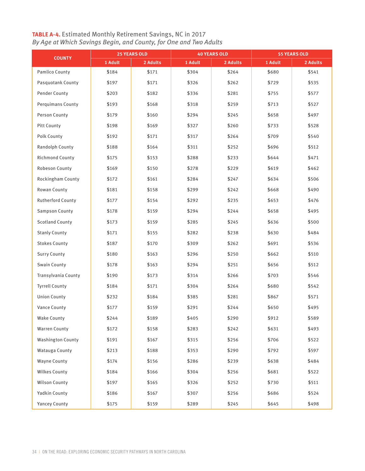## <span id="page-33-0"></span>**Table A-4.** Estimated Monthly Retirement Savings, NC in 2017

| By Age at Which Savings Begin, and County, for One and Two Adults |  |  |  |  |  |
|-------------------------------------------------------------------|--|--|--|--|--|
|-------------------------------------------------------------------|--|--|--|--|--|

|                            | <b>25 YEARS OLD</b> |          | <b>40 YEARS OLD</b> |          | <b>55 YEARS OLD</b> |          |
|----------------------------|---------------------|----------|---------------------|----------|---------------------|----------|
| <b>COUNTY</b>              | 1 Adult             | 2 Adults | 1 Adult             | 2 Adults | 1 Adult             | 2 Adults |
| <b>Pamlico County</b>      | \$184               | \$171    | \$304               | \$264    | \$680               | \$541    |
| Pasquotank County          | \$197               | \$171    | \$326               | \$262    | \$729               | \$535    |
| <b>Pender County</b>       | \$203               | \$182    | \$336               | \$281    | \$755               | \$577    |
| Perquimans County          | \$193               | \$168    | \$318               | \$259    | \$713               | \$527    |
| Person County              | \$179               | \$160    | \$294               | \$245    | \$658               | \$497    |
| Pitt County                | \$198               | \$169    | \$327               | \$260    | \$733               | \$528    |
| Polk County                | \$192               | \$171    | \$317               | \$264    | \$709               | \$540    |
| Randolph County            | \$188               | \$164    | \$311               | \$252    | \$696               | \$512    |
| Richmond County            | \$175               | \$153    | \$288               | \$233    | \$644               | \$471    |
| Robeson County             | \$169               | \$150    | \$278               | \$229    | \$619               | \$462    |
| Rockingham County          | \$172               | \$161    | \$284               | \$247    | \$634               | \$506    |
| Rowan County               | \$181               | \$158    | \$299               | \$242    | \$668               | \$490    |
| <b>Rutherford County</b>   | \$177               | \$154    | \$292               | \$235    | \$653               | \$476    |
| <b>Sampson County</b>      | \$178               | \$159    | \$294               | \$244    | \$658               | \$495    |
| <b>Scotland County</b>     | \$173               | \$159    | \$285               | \$245    | \$636               | \$500    |
| <b>Stanly County</b>       | \$171               | \$155    | \$282               | \$238    | \$630               | \$484    |
| <b>Stokes County</b>       | \$187               | \$170    | \$309               | \$262    | \$691               | \$536    |
| <b>Surry County</b>        | \$180               | \$163    | \$296               | \$250    | \$662               | \$510    |
| Swain County               | \$178               | \$163    | \$294               | \$251    | \$656               | \$512    |
| <b>Transylvania County</b> | \$190               | \$173    | \$314               | \$266    | \$703               | \$546    |
| <b>Tyrrell County</b>      | \$184               | \$171    | \$304               | \$264    | \$680               | \$542    |
| <b>Union County</b>        | \$232               | \$184    | \$385               | \$281    | \$867               | \$571    |
| Vance County               | \$177               | \$159    | \$291               | \$244    | \$650               | \$495    |
| <b>Wake County</b>         | \$244               | \$189    | \$405               | \$290    | \$912               | \$589    |
| <b>Warren County</b>       | \$172               | \$158    | \$283               | \$242    | \$631               | \$493    |
| <b>Washington County</b>   | \$191               | \$167    | \$315               | \$256    | \$706               | \$522    |
| Watauga County             | \$213               | \$188    | \$353               | \$290    | \$792               | \$597    |
| <b>Wayne County</b>        | \$174               | \$156    | \$286               | \$239    | \$638               | \$484    |
| Wilkes County              | \$184               | \$166    | \$304               | \$256    | \$681               | \$522    |
| Wilson County              | \$197               | \$165    | \$326               | \$252    | \$730               | \$511    |
| Yadkin County              | \$186               | \$167    | \$307               | \$256    | \$686               | \$524    |
| <b>Yancey County</b>       | \$175               | \$159    | \$289               | \$245    | \$645               | \$498    |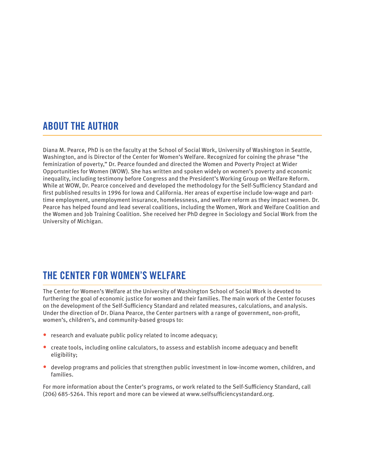## ABOUT THE AUTHOR

Diana M. Pearce, PhD is on the faculty at the School of Social Work, University of Washington in Seattle, Washington, and is Director of the Center for Women's Welfare. Recognized for coining the phrase "the feminization of poverty," Dr. Pearce founded and directed the Women and Poverty Project at Wider Opportunities for Women (WOW). She has written and spoken widely on women's poverty and economic inequality, including testimony before Congress and the President's Working Group on Welfare Reform. While at WOW, Dr. Pearce conceived and developed the methodology for the Self-Sufficiency Standard and first published results in 1996 for Iowa and California. Her areas of expertise include low-wage and parttime employment, unemployment insurance, homelessness, and welfare reform as they impact women. Dr. Pearce has helped found and lead several coalitions, including the Women, Work and Welfare Coalition and the Women and Job Training Coalition. She received her PhD degree in Sociology and Social Work from the University of Michigan.

## THE CENTER FOR WOMEN'S WELFARE

The Center for Women's Welfare at the University of Washington School of Social Work is devoted to furthering the goal of economic justice for women and their families. The main work of the Center focuses on the development of the Self-Sufficiency Standard and related measures, calculations, and analysis. Under the direction of Dr. Diana Pearce, the Center partners with a range of government, non-profit, women's, children's, and community-based groups to:

- research and evaluate public policy related to income adequacy;
- create tools, including online calculators, to assess and establish income adequacy and benefit eligibility;
- develop programs and policies that strengthen public investment in low-income women, children, and families.

For more information about the Center's programs, or work related to the Self-Sufficiency Standard, call (206) 685-5264. This report and more can be viewed at [www.selfsufficiencystandard.org.](http://www.selfsufficiencystandard.org)